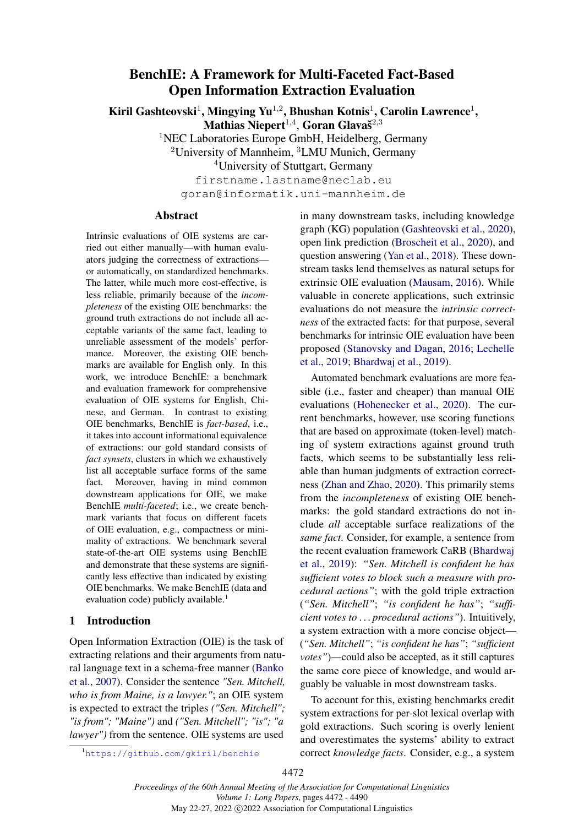# BenchIE: A Framework for Multi-Faceted Fact-Based Open Information Extraction Evaluation

Kiril Gashteovski<sup>1</sup>, Mingying Yu<sup>1,2</sup>, Bhushan Kotnis<sup>1</sup>, Carolin Lawrence<sup>1</sup>,

Mathias Niepert $^{1,4}$ , Goran Glavaš $^{2,3}$ 

<sup>1</sup>NEC Laboratories Europe GmbH, Heidelberg, Germany

<sup>2</sup>University of Mannheim,  ${}^{3}$ LMU Munich, Germany

<sup>4</sup>University of Stuttgart, Germany

firstname.lastname@neclab.eu goran@informatik.uni-mannheim.de

# Abstract

Intrinsic evaluations of OIE systems are carried out either manually—with human evaluators judging the correctness of extractions or automatically, on standardized benchmarks. The latter, while much more cost-effective, is less reliable, primarily because of the *incompleteness* of the existing OIE benchmarks: the ground truth extractions do not include all acceptable variants of the same fact, leading to unreliable assessment of the models' performance. Moreover, the existing OIE benchmarks are available for English only. In this work, we introduce BenchIE: a benchmark and evaluation framework for comprehensive evaluation of OIE systems for English, Chinese, and German. In contrast to existing OIE benchmarks, BenchIE is *fact-based*, i.e., it takes into account informational equivalence of extractions: our gold standard consists of *fact synsets*, clusters in which we exhaustively list all acceptable surface forms of the same fact. Moreover, having in mind common downstream applications for OIE, we make BenchIE *multi-faceted*; i.e., we create benchmark variants that focus on different facets of OIE evaluation, e.g., compactness or minimality of extractions. We benchmark several state-of-the-art OIE systems using BenchIE and demonstrate that these systems are significantly less effective than indicated by existing OIE benchmarks. We make BenchIE (data and evaluation code) publicly available.<sup>[1](#page-0-0)</sup>

# 1 Introduction

Open Information Extraction (OIE) is the task of extracting relations and their arguments from natural language text in a schema-free manner [\(Banko](#page-9-0) [et al.,](#page-9-0) [2007\)](#page-9-0). Consider the sentence *"Sen. Mitchell, who is from Maine, is a lawyer."*; an OIE system is expected to extract the triples *("Sen. Mitchell"; "is from"; "Maine")* and *("Sen. Mitchell"; "is"; "a lawyer")* from the sentence. OIE systems are used

in many downstream tasks, including knowledge graph (KG) population [\(Gashteovski et al.,](#page-9-1) [2020\)](#page-9-1), open link prediction [\(Broscheit et al.,](#page-9-2) [2020\)](#page-9-2), and question answering [\(Yan et al.,](#page-11-0) [2018\)](#page-11-0). These downstream tasks lend themselves as natural setups for extrinsic OIE evaluation [\(Mausam,](#page-10-0) [2016\)](#page-10-0). While valuable in concrete applications, such extrinsic evaluations do not measure the *intrinsic correctness* of the extracted facts: for that purpose, several benchmarks for intrinsic OIE evaluation have been proposed [\(Stanovsky and Dagan,](#page-10-1) [2016;](#page-10-1) [Lechelle](#page-10-2) [et al.,](#page-10-2) [2019;](#page-10-2) [Bhardwaj et al.,](#page-9-3) [2019\)](#page-9-3).

Automated benchmark evaluations are more feasible (i.e., faster and cheaper) than manual OIE evaluations [\(Hohenecker et al.,](#page-9-4) [2020\)](#page-9-4). The current benchmarks, however, use scoring functions that are based on approximate (token-level) matching of system extractions against ground truth facts, which seems to be substantially less reliable than human judgments of extraction correctness [\(Zhan and Zhao,](#page-11-1) [2020\)](#page-11-1). This primarily stems from the *incompleteness* of existing OIE benchmarks: the gold standard extractions do not include *all* acceptable surface realizations of the *same fact*. Consider, for example, a sentence from the recent evaluation framework CaRB [\(Bhardwaj](#page-9-3) [et al.,](#page-9-3) [2019\)](#page-9-3): *"Sen. Mitchell is confident he has sufficient votes to block such a measure with procedural actions"*; with the gold triple extraction (*"Sen. Mitchell"*; *"is confident he has"*; *"sufficient votes to . . . procedural actions"*). Intuitively, a system extraction with a more concise object— (*"Sen. Mitchell"*; *"is confident he has"*; *"sufficient votes"*)—could also be accepted, as it still captures the same core piece of knowledge, and would arguably be valuable in most downstream tasks.

To account for this, existing benchmarks credit system extractions for per-slot lexical overlap with gold extractions. Such scoring is overly lenient and overestimates the systems' ability to extract correct *knowledge facts*. Consider, e.g., a system

<span id="page-0-0"></span>1https://qithub.com/qkiril/benchie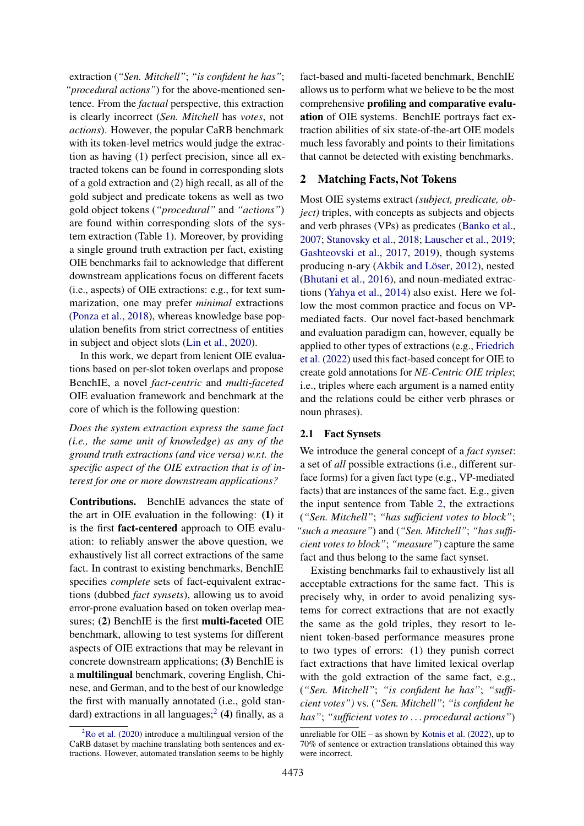extraction (*"Sen. Mitchell"*; *"is confident he has"*; *"procedural actions"*) for the above-mentioned sentence. From the *factual* perspective, this extraction is clearly incorrect (*Sen. Mitchell* has *votes*, not *actions*). However, the popular CaRB benchmark with its token-level metrics would judge the extraction as having (1) perfect precision, since all extracted tokens can be found in corresponding slots of a gold extraction and (2) high recall, as all of the gold subject and predicate tokens as well as two gold object tokens (*"procedural"* and *"actions"*) are found within corresponding slots of the system extraction (Table [1\)](#page-2-0). Moreover, by providing a single ground truth extraction per fact, existing OIE benchmarks fail to acknowledge that different downstream applications focus on different facets (i.e., aspects) of OIE extractions: e.g., for text summarization, one may prefer *minimal* extractions [\(Ponza et al.,](#page-10-3) [2018\)](#page-10-3), whereas knowledge base population benefits from strict correctness of entities in subject and object slots [\(Lin et al.,](#page-10-4) [2020\)](#page-10-4).

In this work, we depart from lenient OIE evaluations based on per-slot token overlaps and propose BenchIE, a novel *fact-centric* and *multi-faceted* OIE evaluation framework and benchmark at the core of which is the following question:

*Does the system extraction express the same fact (i.e., the same unit of knowledge) as any of the ground truth extractions (and vice versa) w.r.t. the specific aspect of the OIE extraction that is of interest for one or more downstream applications?*

Contributions. BenchIE advances the state of the art in OIE evaluation in the following: (1) it is the first fact-centered approach to OIE evaluation: to reliably answer the above question, we exhaustively list all correct extractions of the same fact. In contrast to existing benchmarks, BenchIE specifies *complete* sets of fact-equivalent extractions (dubbed *fact synsets*), allowing us to avoid error-prone evaluation based on token overlap measures; (2) BenchIE is the first **multi-faceted** OIE benchmark, allowing to test systems for different aspects of OIE extractions that may be relevant in concrete downstream applications; (3) BenchIE is a multilingual benchmark, covering English, Chinese, and German, and to the best of our knowledge the first with manually annotated (i.e., gold stan-dard) extractions in all languages;<sup>[2](#page-1-0)</sup> (4) finally, as a

fact-based and multi-faceted benchmark, BenchIE allows us to perform what we believe to be the most comprehensive profiling and comparative evaluation of OIE systems. BenchIE portrays fact extraction abilities of six state-of-the-art OIE models much less favorably and points to their limitations that cannot be detected with existing benchmarks.

# <span id="page-1-1"></span>2 Matching Facts, Not Tokens

Most OIE systems extract *(subject, predicate, object*) triples, with concepts as subjects and objects and verb phrases (VPs) as predicates [\(Banko et al.,](#page-9-0) [2007;](#page-9-0) [Stanovsky et al.,](#page-10-6) [2018;](#page-10-6) [Lauscher et al.,](#page-10-7) [2019;](#page-10-7) [Gashteovski et al.,](#page-9-5) [2017,](#page-9-5) [2019\)](#page-9-6), though systems producing n-ary [\(Akbik and Löser,](#page-9-7) [2012\)](#page-9-7), nested [\(Bhutani et al.,](#page-9-8) [2016\)](#page-9-8), and noun-mediated extractions [\(Yahya et al.,](#page-11-2) [2014\)](#page-11-2) also exist. Here we follow the most common practice and focus on VPmediated facts. Our novel fact-based benchmark and evaluation paradigm can, however, equally be applied to other types of extractions (e.g., [Friedrich](#page-9-9) [et al.](#page-9-9) [\(2022\)](#page-9-9) used this fact-based concept for OIE to create gold annotations for *NE-Centric OIE triples*; i.e., triples where each argument is a named entity and the relations could be either verb phrases or noun phrases).

### 2.1 Fact Synsets

We introduce the general concept of a *fact synset*: a set of *all* possible extractions (i.e., different surface forms) for a given fact type (e.g., VP-mediated facts) that are instances of the same fact. E.g., given the input sentence from Table [2,](#page-2-1) the extractions (*"Sen. Mitchell"*; *"has sufficient votes to block"*; *"such a measure"*) and (*"Sen. Mitchell"*; *"has sufficient votes to block"*; *"measure"*) capture the same fact and thus belong to the same fact synset.

Existing benchmarks fail to exhaustively list all acceptable extractions for the same fact. This is precisely why, in order to avoid penalizing systems for correct extractions that are not exactly the same as the gold triples, they resort to lenient token-based performance measures prone to two types of errors: (1) they punish correct fact extractions that have limited lexical overlap with the gold extraction of the same fact, e.g., (*"Sen. Mitchell"*; *"is confident he has"*; *"sufficient votes")* vs. (*"Sen. Mitchell"*; *"is confident he has"*; *"sufficient votes to . . . procedural actions"*)

<span id="page-1-0"></span> ${}^{2}$ [Ro et al.](#page-10-5) [\(2020\)](#page-10-5) introduce a multilingual version of the CaRB dataset by machine translating both sentences and extractions. However, automated translation seems to be highly

unreliable for OIE – as shown by [Kotnis et al.](#page-10-8) [\(2022\)](#page-10-8), up to 70% of sentence or extraction translations obtained this way were incorrect.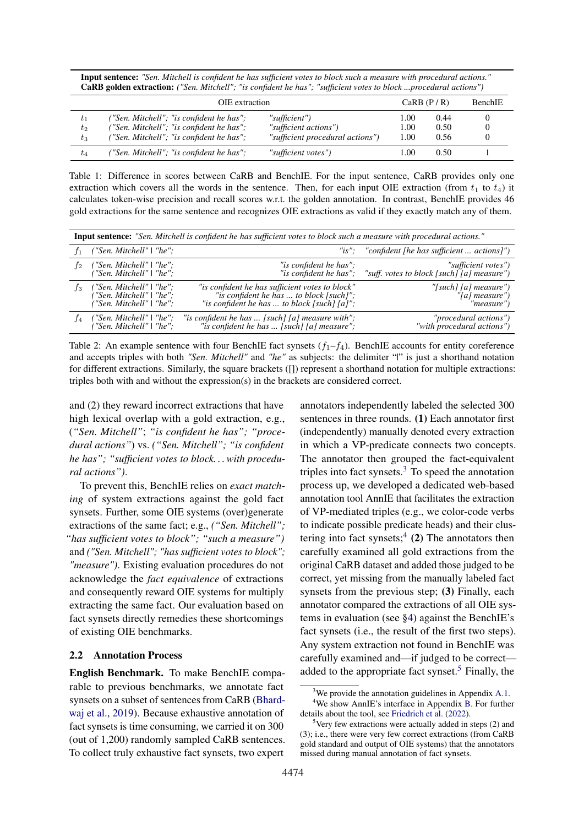<span id="page-2-0"></span>Input sentence: *"Sen. Mitchell is confident he has sufficient votes to block such a measure with procedural actions."* CaRB golden extraction: *("Sen. Mitchell"; "is confident he has"; "sufficient votes to block ...procedural actions")*

|          | OIE extraction                           | CaRB $(P/R)$                     |      | <b>BenchIE</b> |  |
|----------|------------------------------------------|----------------------------------|------|----------------|--|
| $\tau_1$ | ("Sen. Mitchell"; "is confident he has"; | "sufficient")                    | 00.1 | 0.44           |  |
| $t_2$    | ("Sen. Mitchell"; "is confident he has"; | "sufficient actions")            | 1.00 | 0.50           |  |
| $t_3$    | ("Sen. Mitchell"; "is confident he has"; | "sufficient procedural actions") | 1.00 | 0.56           |  |
| $t_4$    | ("Sen. Mitchell"; "is confident he has"; | "sufficient votes")              | .00  | 0.50           |  |

Table 1: Difference in scores between CaRB and BenchIE. For the input sentence, CaRB provides only one extraction which covers all the words in the sentence. Then, for each input OIE extraction (from  $t_1$  to  $t_4$ ) it calculates token-wise precision and recall scores w.r.t. the golden annotation. In contrast, BenchIE provides 46 gold extractions for the same sentence and recognizes OIE extractions as valid if they exactly match any of them.

<span id="page-2-1"></span>

|         | <b>Input sentence:</b> "Sen. Mitchell is confident he has sufficient votes to block such a measure with procedural actions." |                                                                                                                                                   |                                                                  |  |  |  |  |  |  |  |
|---------|------------------------------------------------------------------------------------------------------------------------------|---------------------------------------------------------------------------------------------------------------------------------------------------|------------------------------------------------------------------|--|--|--|--|--|--|--|
|         | ("Sen. Mitchell"   "he";                                                                                                     |                                                                                                                                                   | "is"; "confident [he has sufficient  actions]")                  |  |  |  |  |  |  |  |
| $_{12}$ | ("Sen. Mitchell"   "he";<br>("Sen. Mitchell"   "he";                                                                         | "is confident he has";<br>"is confident he has";                                                                                                  | "sufficient votes")<br>"suff. votes to block [such][a] measure") |  |  |  |  |  |  |  |
| $_{13}$ | ("Sen. Mitchell"   "he";<br>("Sen. Mitchell"   "he";<br>("Sen. Mitchell" $\mid$ "he";                                        | "is confident he has sufficient votes to block"<br>"is confident he has  to block [such]";<br>"is confident he has $\ldots$ to block [such] [a]"; | "[such] [a] measure")<br>"[a] measure")<br>"measure")            |  |  |  |  |  |  |  |
|         | ("Sen. Mitchell"   "he";<br>("Sen. Mitchell"   "he";                                                                         | "is confident he has  [such] [a] measure with";<br>"is confident he has  [such] [a] measure";                                                     | "procedural actions")<br>"with procedural actions")              |  |  |  |  |  |  |  |

Table 2: An example sentence with four BenchIE fact synsets  $(f_1-f_4)$ . BenchIE accounts for entity coreference and accepts triples with both *"Sen. Mitchell"* and *"he"* as subjects: the delimiter "|" is just a shorthand notation for different extractions. Similarly, the square brackets ([]) represent a shorthand notation for multiple extractions: triples both with and without the expression(s) in the brackets are considered correct.

and (2) they reward incorrect extractions that have high lexical overlap with a gold extraction, e.g., (*"Sen. Mitchell"*; *"is confident he has"; "procedural actions"*) vs. *("Sen. Mitchell"; "is confident he has"; "sufficient votes to block. . . with procedural actions")*.

To prevent this, BenchIE relies on *exact matching* of system extractions against the gold fact synsets. Further, some OIE systems (over)generate extractions of the same fact; e.g., *("Sen. Mitchell"; "has sufficient votes to block"; "such a measure")* and *("Sen. Mitchell"; "has sufficient votes to block"; "measure")*. Existing evaluation procedures do not acknowledge the *fact equivalence* of extractions and consequently reward OIE systems for multiply extracting the same fact. Our evaluation based on fact synsets directly remedies these shortcomings of existing OIE benchmarks.

## <span id="page-2-5"></span>2.2 Annotation Process

English Benchmark. To make BenchIE comparable to previous benchmarks, we annotate fact synsets on a subset of sentences from CaRB [\(Bhard](#page-9-3)[waj et al.,](#page-9-3) [2019\)](#page-9-3). Because exhaustive annotation of fact synsets is time consuming, we carried it on 300 (out of 1,200) randomly sampled CaRB sentences. To collect truly exhaustive fact synsets, two expert

annotators independently labeled the selected 300 sentences in three rounds. (1) Each annotator first (independently) manually denoted every extraction in which a VP-predicate connects two concepts. The annotator then grouped the fact-equivalent triples into fact synsets. $3$  To speed the annotation process up, we developed a dedicated web-based annotation tool AnnIE that facilitates the extraction of VP-mediated triples (e.g., we color-code verbs to indicate possible predicate heads) and their clus-tering into fact synsets;<sup>[4](#page-2-3)</sup> (2) The annotators then carefully examined all gold extractions from the original CaRB dataset and added those judged to be correct, yet missing from the manually labeled fact synsets from the previous step; (3) Finally, each annotator compared the extractions of all OIE systems in evaluation (see [§4\)](#page-4-0) against the BenchIE's fact synsets (i.e., the result of the first two steps). Any system extraction not found in BenchIE was carefully examined and—if judged to be correct— added to the appropriate fact synset.<sup>[5](#page-2-4)</sup> Finally, the

<span id="page-2-3"></span><span id="page-2-2"></span> $3$ We provide the annotation guidelines in Appendix [A.1.](#page-12-0)

<sup>4</sup>We show AnnIE's interface in Appendix [B.](#page-14-0) For further details about the tool, see [Friedrich et al.](#page-9-9) [\(2022\)](#page-9-9).

<span id="page-2-4"></span> $5$ Very few extractions were actually added in steps (2) and (3); i.e., there were very few correct extractions (from CaRB gold standard and output of OIE systems) that the annotators missed during manual annotation of fact synsets.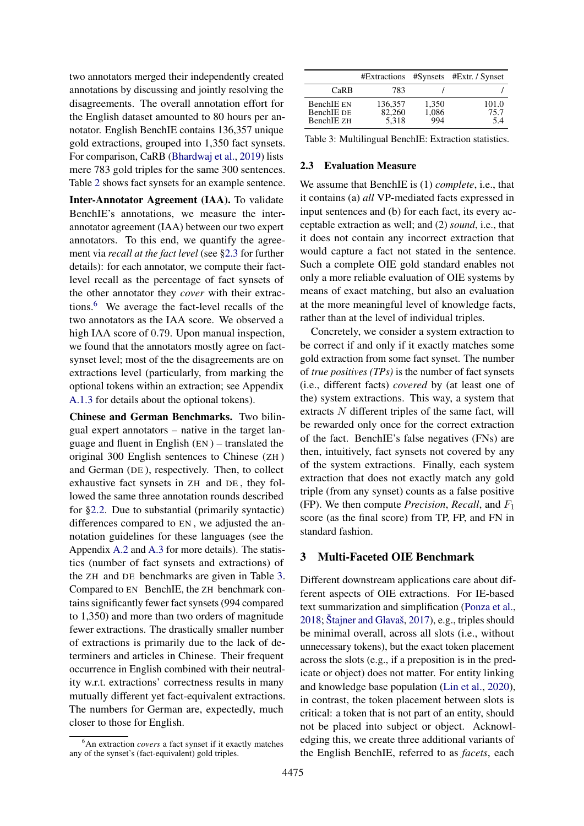two annotators merged their independently created annotations by discussing and jointly resolving the disagreements. The overall annotation effort for the English dataset amounted to 80 hours per annotator. English BenchIE contains 136,357 unique gold extractions, grouped into 1,350 fact synsets. For comparison, CaRB [\(Bhardwaj et al.,](#page-9-3) [2019\)](#page-9-3) lists mere 783 gold triples for the same 300 sentences. Table [2](#page-2-1) shows fact synsets for an example sentence.

Inter-Annotator Agreement (IAA). To validate BenchIE's annotations, we measure the interannotator agreement (IAA) between our two expert annotators. To this end, we quantify the agreement via *recall at the fact level* (see [§2.3](#page-3-0) for further details): for each annotator, we compute their factlevel recall as the percentage of fact synsets of the other annotator they *cover* with their extractions.[6](#page-3-1) We average the fact-level recalls of the two annotators as the IAA score. We observed a high IAA score of 0.79. Upon manual inspection, we found that the annotators mostly agree on factsynset level; most of the the disagreements are on extractions level (particularly, from marking the optional tokens within an extraction; see Appendix [A.1.3](#page-12-1) for details about the optional tokens).

Chinese and German Benchmarks. Two bilingual expert annotators – native in the target language and fluent in English (EN ) – translated the original 300 English sentences to Chinese (ZH ) and German (DE ), respectively. Then, to collect exhaustive fact synsets in ZH and DE , they followed the same three annotation rounds described for [§2.2.](#page-2-5) Due to substantial (primarily syntactic) differences compared to EN , we adjusted the annotation guidelines for these languages (see the Appendix [A.2](#page-14-1) and [A.3](#page-14-2) for more details). The statistics (number of fact synsets and extractions) of the ZH and DE benchmarks are given in Table [3.](#page-3-2) Compared to EN BenchIE, the ZH benchmark contains significantly fewer fact synsets (994 compared to 1,350) and more than two orders of magnitude fewer extractions. The drastically smaller number of extractions is primarily due to the lack of determiners and articles in Chinese. Their frequent occurrence in English combined with their neutrality w.r.t. extractions' correctness results in many mutually different yet fact-equivalent extractions. The numbers for German are, expectedly, much closer to those for English.

<span id="page-3-2"></span>

|                                               |                            |                       | #Extractions #Synsets #Extr. / Synset |
|-----------------------------------------------|----------------------------|-----------------------|---------------------------------------|
| CaRB                                          | 783                        |                       |                                       |
| <b>BenchIE EN</b><br>BenchIE DE<br>BenchIE ZH | 136,357<br>82,260<br>5.318 | 1,350<br>1,086<br>994 | 101.0<br>75.7<br>5.4                  |

Table 3: Multilingual BenchIE: Extraction statistics.

# <span id="page-3-0"></span>2.3 Evaluation Measure

We assume that BenchIE is (1) *complete*, i.e., that it contains (a) *all* VP-mediated facts expressed in input sentences and (b) for each fact, its every acceptable extraction as well; and (2) *sound*, i.e., that it does not contain any incorrect extraction that would capture a fact not stated in the sentence. Such a complete OIE gold standard enables not only a more reliable evaluation of OIE systems by means of exact matching, but also an evaluation at the more meaningful level of knowledge facts, rather than at the level of individual triples.

Concretely, we consider a system extraction to be correct if and only if it exactly matches some gold extraction from some fact synset. The number of *true positives (TPs)* is the number of fact synsets (i.e., different facts) *covered* by (at least one of the) system extractions. This way, a system that extracts N different triples of the same fact, will be rewarded only once for the correct extraction of the fact. BenchIE's false negatives (FNs) are then, intuitively, fact synsets not covered by any of the system extractions. Finally, each system extraction that does not exactly match any gold triple (from any synset) counts as a false positive (FP). We then compute *Precision*, *Recall*, and F<sup>1</sup> score (as the final score) from TP, FP, and FN in standard fashion.

# <span id="page-3-3"></span>3 Multi-Faceted OIE Benchmark

Different downstream applications care about different aspects of OIE extractions. For IE-based text summarization and simplification [\(Ponza et al.,](#page-10-3) [2018;](#page-10-3) [Štajner and Glavaš,](#page-10-9) [2017\)](#page-10-9), e.g., triples should be minimal overall, across all slots (i.e., without unnecessary tokens), but the exact token placement across the slots (e.g., if a preposition is in the predicate or object) does not matter. For entity linking and knowledge base population [\(Lin et al.,](#page-10-4) [2020\)](#page-10-4), in contrast, the token placement between slots is critical: a token that is not part of an entity, should not be placed into subject or object. Acknowledging this, we create three additional variants of the English BenchIE, referred to as *facets*, each

<span id="page-3-1"></span><sup>6</sup>An extraction *covers* a fact synset if it exactly matches any of the synset's (fact-equivalent) gold triples.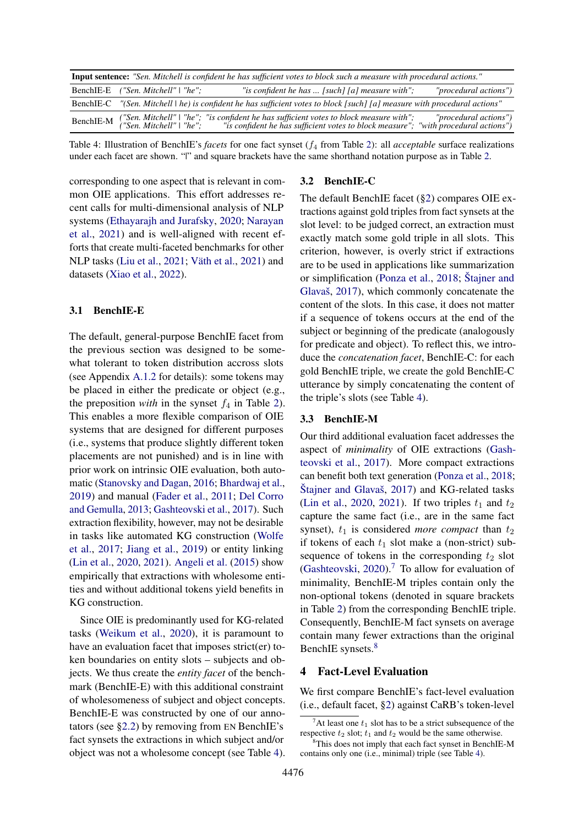<span id="page-4-1"></span>

| <b>Input sentence:</b> "Sen. Mitchell is confident he has sufficient votes to block such a measure with procedural actions." |                                    |                                                                                                                                                                                                                         |                       |  |  |  |  |  |  |
|------------------------------------------------------------------------------------------------------------------------------|------------------------------------|-------------------------------------------------------------------------------------------------------------------------------------------------------------------------------------------------------------------------|-----------------------|--|--|--|--|--|--|
|                                                                                                                              | BenchIE-E ("Sen. Mitchell"   "he"; | "is confident he has $\ldots$ [such] [a] measure with";                                                                                                                                                                 | "procedural actions") |  |  |  |  |  |  |
|                                                                                                                              |                                    | BenchIE-C "(Sen. Mitchell \ he) is confident he has sufficient votes to block [such] [a] measure with procedural actions"                                                                                               |                       |  |  |  |  |  |  |
|                                                                                                                              |                                    | BenchIE-M ("Sen. Mitchell" \ "he"; "is confident he has sufficient votes to block measure with"; "procedural actions")<br>Networks: "is confident he has sufficient votes to block measure"; "with procedural actions") |                       |  |  |  |  |  |  |

Table 4: Illustration of BenchIE's *facets* for one fact synset ( $f_4$  from Table [2\)](#page-2-1): all *acceptable* surface realizations under each facet are shown. "|" and square brackets have the same shorthand notation purpose as in Table [2.](#page-2-1)

corresponding to one aspect that is relevant in common OIE applications. This effort addresses recent calls for multi-dimensional analysis of NLP systems [\(Ethayarajh and Jurafsky,](#page-9-10) [2020;](#page-9-10) [Narayan](#page-10-10) [et al.,](#page-10-10) [2021\)](#page-10-10) and is well-aligned with recent efforts that create multi-faceted benchmarks for other NLP tasks [\(Liu et al.,](#page-10-11) [2021;](#page-10-11) [Väth et al.,](#page-10-12) [2021\)](#page-10-12) and datasets [\(Xiao et al.,](#page-11-3) [2022\)](#page-11-3).

### <span id="page-4-4"></span>3.1 BenchIE-E

The default, general-purpose BenchIE facet from the previous section was designed to be somewhat tolerant to token distribution accross slots (see Appendix [A.1.2](#page-12-2) for details): some tokens may be placed in either the predicate or object (e.g., the preposition *with* in the synset  $f_4$  in Table [2\)](#page-2-1). This enables a more flexible comparison of OIE systems that are designed for different purposes (i.e., systems that produce slightly different token placements are not punished) and is in line with prior work on intrinsic OIE evaluation, both automatic [\(Stanovsky and Dagan,](#page-10-1) [2016;](#page-10-1) [Bhardwaj et al.,](#page-9-3) [2019\)](#page-9-3) and manual [\(Fader et al.,](#page-9-11) [2011;](#page-9-11) [Del Corro](#page-9-12) [and Gemulla,](#page-9-12) [2013;](#page-9-12) [Gashteovski et al.,](#page-9-5) [2017\)](#page-9-5). Such extraction flexibility, however, may not be desirable in tasks like automated KG construction [\(Wolfe](#page-11-4) [et al.,](#page-11-4) [2017;](#page-11-4) [Jiang et al.,](#page-10-13) [2019\)](#page-10-13) or entity linking [\(Lin et al.,](#page-10-4) [2020,](#page-10-4) [2021\)](#page-10-14). [Angeli et al.](#page-9-13) [\(2015\)](#page-9-13) show empirically that extractions with wholesome entities and without additional tokens yield benefits in KG construction.

Since OIE is predominantly used for KG-related tasks [\(Weikum et al.,](#page-10-15) [2020\)](#page-10-15), it is paramount to have an evaluation facet that imposes strict(er) token boundaries on entity slots – subjects and objects. We thus create the *entity facet* of the benchmark (BenchIE-E) with this additional constraint of wholesomeness of subject and object concepts. BenchIE-E was constructed by one of our annotators (see [§2.2\)](#page-2-5) by removing from EN BenchIE's fact synsets the extractions in which subject and/or object was not a wholesome concept (see Table [4\)](#page-4-1).

#### 3.2 BenchIE-C

The default BenchIE facet ([§2\)](#page-1-1) compares OIE extractions against gold triples from fact synsets at the slot level: to be judged correct, an extraction must exactly match some gold triple in all slots. This criterion, however, is overly strict if extractions are to be used in applications like summarization or simplification [\(Ponza et al.,](#page-10-3) [2018;](#page-10-3) [Štajner and](#page-10-9) [Glavaš,](#page-10-9) [2017\)](#page-10-9), which commonly concatenate the content of the slots. In this case, it does not matter if a sequence of tokens occurs at the end of the subject or beginning of the predicate (analogously for predicate and object). To reflect this, we introduce the *concatenation facet*, BenchIE-C: for each gold BenchIE triple, we create the gold BenchIE-C utterance by simply concatenating the content of the triple's slots (see Table [4\)](#page-4-1).

### 3.3 BenchIE-M

Our third additional evaluation facet addresses the aspect of *minimality* of OIE extractions [\(Gash](#page-9-5)[teovski et al.,](#page-9-5) [2017\)](#page-9-5). More compact extractions can benefit both text generation [\(Ponza et al.,](#page-10-3) [2018;](#page-10-3) [Štajner and Glavaš,](#page-10-9) [2017\)](#page-10-9) and KG-related tasks [\(Lin et al.,](#page-10-4) [2020,](#page-10-4) [2021\)](#page-10-14). If two triples  $t_1$  and  $t_2$ capture the same fact (i.e., are in the same fact synset),  $t_1$  is considered *more compact* than  $t_2$ if tokens of each  $t_1$  slot make a (non-strict) subsequence of tokens in the corresponding  $t_2$  slot [\(Gashteovski,](#page-9-14) [2020\)](#page-9-14).[7](#page-4-2) To allow for evaluation of minimality, BenchIE-M triples contain only the non-optional tokens (denoted in square brackets in Table [2\)](#page-2-1) from the corresponding BenchIE triple. Consequently, BenchIE-M fact synsets on average contain many fewer extractions than the original BenchIE synsets.<sup>[8](#page-4-3)</sup>

### <span id="page-4-0"></span>4 Fact-Level Evaluation

We first compare BenchIE's fact-level evaluation (i.e., default facet, [§2\)](#page-1-1) against CaRB's token-level

<span id="page-4-2"></span><sup>&</sup>lt;sup>7</sup>At least one  $t_1$  slot has to be a strict subsequence of the respective  $t_2$  slot;  $t_1$  and  $t_2$  would be the same otherwise.

<span id="page-4-3"></span><sup>8</sup>This does not imply that each fact synset in BenchIE-M contains only one (i.e., minimal) triple (see Table [4\)](#page-4-1).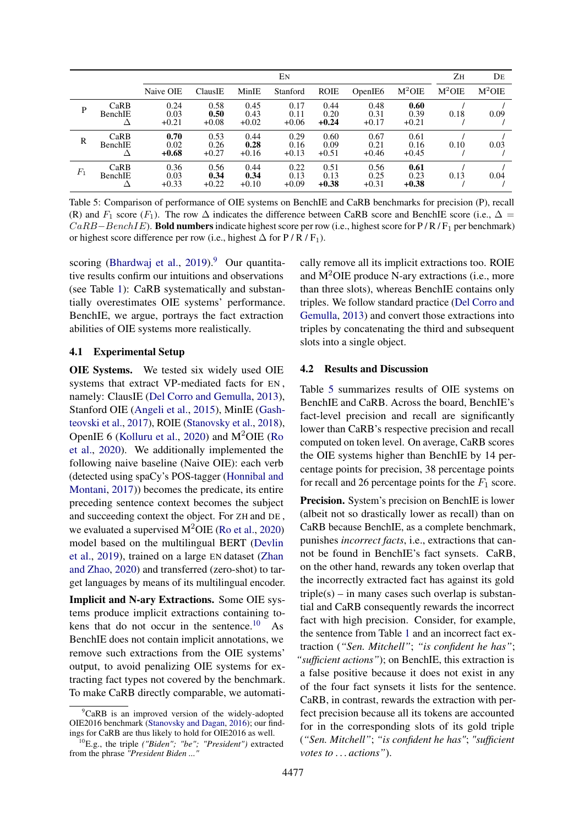<span id="page-5-2"></span>

|       |                        |                         |                         |                         | Eм                      |                         |                         |                         | Zн       | DE       |
|-------|------------------------|-------------------------|-------------------------|-------------------------|-------------------------|-------------------------|-------------------------|-------------------------|----------|----------|
|       |                        | Naive OIE               | ClausIE                 | MinIE                   | Stanford                | <b>ROIE</b>             | OpenIE6                 | $M^2OIE$                | $M^2OIE$ | $M^2OIE$ |
| P     | CaRB<br>BenchIE        | 0.24<br>0.03<br>$+0.21$ | 0.58<br>0.50<br>$+0.08$ | 0.45<br>0.43<br>$+0.02$ | 0.17<br>0.11<br>$+0.06$ | 0.44<br>0.20<br>$+0.24$ | 0.48<br>0.31<br>$+0.17$ | 0.60<br>0.39<br>$+0.21$ | 0.18     | 0.09     |
| R     | CaRB<br>BenchIE        | 0.70<br>0.02<br>$+0.68$ | 0.53<br>0.26<br>$+0.27$ | 0.44<br>0.28<br>$+0.16$ | 0.29<br>0.16<br>$+0.13$ | 0.60<br>0.09<br>$+0.51$ | 0.67<br>0.21<br>$+0.46$ | 0.61<br>0.16<br>$+0.45$ | 0.10     | 0.03     |
| $F_1$ | CaRB<br><b>BenchIE</b> | 0.36<br>0.03<br>$+0.33$ | 0.56<br>0.34<br>$+0.22$ | 0.44<br>0.34<br>$+0.10$ | 0.22<br>0.13<br>$+0.09$ | 0.51<br>0.13<br>$+0.38$ | 0.56<br>0.25<br>$+0.31$ | 0.61<br>0.23<br>$+0.38$ | 0.13     | 0.04     |

Table 5: Comparison of performance of OIE systems on BenchIE and CaRB benchmarks for precision (P), recall (R) and  $F_1$  score ( $F_1$ ). The row  $\Delta$  indicates the difference between CaRB score and BenchIE score (i.e.,  $\Delta =$  $CaRB-BenchIE$ ). Bold numbers indicate highest score per row (i.e., highest score for P/R/F<sub>1</sub> per benchmark) or highest score difference per row (i.e., highest  $\Delta$  for P / R / F<sub>1</sub>).

scoring [\(Bhardwaj et al.,](#page-9-3)  $2019$  $2019$ ).<sup>9</sup> Our quantitative results confirm our intuitions and observations (see Table [1\)](#page-2-0): CaRB systematically and substantially overestimates OIE systems' performance. BenchIE, we argue, portrays the fact extraction abilities of OIE systems more realistically.

### 4.1 Experimental Setup

OIE Systems. We tested six widely used OIE systems that extract VP-mediated facts for EN , namely: ClausIE [\(Del Corro and Gemulla,](#page-9-12) [2013\)](#page-9-12), Stanford OIE [\(Angeli et al.,](#page-9-13) [2015\)](#page-9-13), MinIE [\(Gash](#page-9-5)[teovski et al.,](#page-9-5) [2017\)](#page-9-5), ROIE [\(Stanovsky et al.,](#page-10-6) [2018\)](#page-10-6), OpenIE 6 [\(Kolluru et al.,](#page-10-16) [2020\)](#page-10-16) and  $M^2OIE$  [\(Ro](#page-10-5) [et al.,](#page-10-5) [2020\)](#page-10-5). We additionally implemented the following naive baseline (Naive OIE): each verb (detected using spaCy's POS-tagger [\(Honnibal and](#page-10-17) [Montani,](#page-10-17) [2017\)](#page-10-17)) becomes the predicate, its entire preceding sentence context becomes the subject and succeeding context the object. For ZH and DE , we evaluated a supervised  $M^2OIE$  [\(Ro et al.,](#page-10-5) [2020\)](#page-10-5) model based on the multilingual BERT [\(Devlin](#page-9-15) [et al.,](#page-9-15) [2019\)](#page-9-15), trained on a large EN dataset [\(Zhan](#page-11-1) [and Zhao,](#page-11-1) [2020\)](#page-11-1) and transferred (zero-shot) to target languages by means of its multilingual encoder.

Implicit and N-ary Extractions. Some OIE systems produce implicit extractions containing tokens that do not occur in the sentence. $10$  As BenchIE does not contain implicit annotations, we remove such extractions from the OIE systems' output, to avoid penalizing OIE systems for extracting fact types not covered by the benchmark. To make CaRB directly comparable, we automatically remove all its implicit extractions too. ROIE and  $M^2OIE$  produce N-ary extractions (i.e., more than three slots), whereas BenchIE contains only triples. We follow standard practice [\(Del Corro and](#page-9-12) [Gemulla,](#page-9-12) [2013\)](#page-9-12) and convert those extractions into triples by concatenating the third and subsequent slots into a single object.

# 4.2 Results and Discussion

Table [5](#page-5-2) summarizes results of OIE systems on BenchIE and CaRB. Across the board, BenchIE's fact-level precision and recall are significantly lower than CaRB's respective precision and recall computed on token level. On average, CaRB scores the OIE systems higher than BenchIE by 14 percentage points for precision, 38 percentage points for recall and 26 percentage points for the  $F_1$  score.

Precision. System's precision on BenchIE is lower (albeit not so drastically lower as recall) than on CaRB because BenchIE, as a complete benchmark, punishes *incorrect facts*, i.e., extractions that cannot be found in BenchIE's fact synsets. CaRB, on the other hand, rewards any token overlap that the incorrectly extracted fact has against its gold  $triple(s)$  – in many cases such overlap is substantial and CaRB consequently rewards the incorrect fact with high precision. Consider, for example, the sentence from Table [1](#page-2-0) and an incorrect fact extraction (*"Sen. Mitchell"*; *"is confident he has"*; *"sufficient actions"*); on BenchIE, this extraction is a false positive because it does not exist in any of the four fact synsets it lists for the sentence. CaRB, in contrast, rewards the extraction with perfect precision because all its tokens are accounted for in the corresponding slots of its gold triple (*"Sen. Mitchell"*; *"is confident he has"*; *"sufficient votes to . . . actions"*).

<span id="page-5-0"></span> ${}^{9}$ CaRB is an improved version of the widely-adopted OIE2016 benchmark [\(Stanovsky and Dagan,](#page-10-1) [2016\)](#page-10-1); our findings for CaRB are thus likely to hold for OIE2016 as well.

<span id="page-5-1"></span><sup>10</sup>E.g., the triple *("Biden"; "be"; "President")* extracted from the phrase *"President Biden* ..."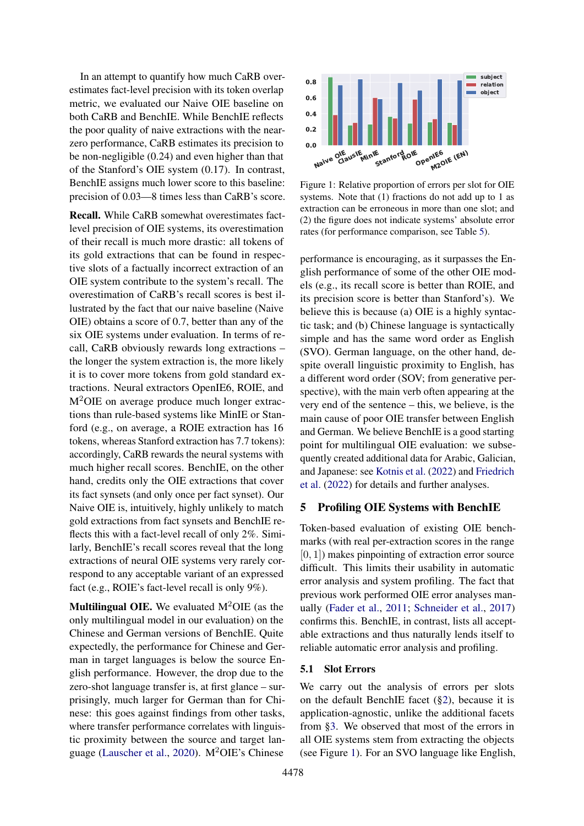In an attempt to quantify how much CaRB overestimates fact-level precision with its token overlap metric, we evaluated our Naive OIE baseline on both CaRB and BenchIE. While BenchIE reflects the poor quality of naive extractions with the nearzero performance, CaRB estimates its precision to be non-negligible (0.24) and even higher than that of the Stanford's OIE system (0.17). In contrast, BenchIE assigns much lower score to this baseline: precision of 0.03—8 times less than CaRB's score.

Recall. While CaRB somewhat overestimates factlevel precision of OIE systems, its overestimation of their recall is much more drastic: all tokens of its gold extractions that can be found in respective slots of a factually incorrect extraction of an OIE system contribute to the system's recall. The overestimation of CaRB's recall scores is best illustrated by the fact that our naive baseline (Naive OIE) obtains a score of 0.7, better than any of the six OIE systems under evaluation. In terms of recall, CaRB obviously rewards long extractions – the longer the system extraction is, the more likely it is to cover more tokens from gold standard extractions. Neural extractors OpenIE6, ROIE, and M<sup>2</sup>OIE on average produce much longer extractions than rule-based systems like MinIE or Stanford (e.g., on average, a ROIE extraction has 16 tokens, whereas Stanford extraction has 7.7 tokens): accordingly, CaRB rewards the neural systems with much higher recall scores. BenchIE, on the other hand, credits only the OIE extractions that cover its fact synsets (and only once per fact synset). Our Naive OIE is, intuitively, highly unlikely to match gold extractions from fact synsets and BenchIE reflects this with a fact-level recall of only 2%. Similarly, BenchIE's recall scores reveal that the long extractions of neural OIE systems very rarely correspond to any acceptable variant of an expressed fact (e.g., ROIE's fact-level recall is only 9%).

**Multilingual OIE.** We evaluated  $M^2OIE$  (as the only multilingual model in our evaluation) on the Chinese and German versions of BenchIE. Quite expectedly, the performance for Chinese and German in target languages is below the source English performance. However, the drop due to the zero-shot language transfer is, at first glance – surprisingly, much larger for German than for Chinese: this goes against findings from other tasks, where transfer performance correlates with linguistic proximity between the source and target language [\(Lauscher et al.,](#page-10-18) [2020\)](#page-10-18). M2OIE's Chinese

<span id="page-6-0"></span>

Figure 1: Relative proportion of errors per slot for OIE systems. Note that (1) fractions do not add up to 1 as extraction can be erroneous in more than one slot; and (2) the figure does not indicate systems' absolute error rates (for performance comparison, see Table [5\)](#page-5-2).

performance is encouraging, as it surpasses the English performance of some of the other OIE models (e.g., its recall score is better than ROIE, and its precision score is better than Stanford's). We believe this is because (a) OIE is a highly syntactic task; and (b) Chinese language is syntactically simple and has the same word order as English (SVO). German language, on the other hand, despite overall linguistic proximity to English, has a different word order (SOV; from generative perspective), with the main verb often appearing at the very end of the sentence – this, we believe, is the main cause of poor OIE transfer between English and German. We believe BenchIE is a good starting point for multilingual OIE evaluation: we subsequently created additional data for Arabic, Galician, and Japanese: see [Kotnis et al.](#page-10-8) [\(2022\)](#page-10-8) and [Friedrich](#page-9-9) [et al.](#page-9-9) [\(2022\)](#page-9-9) for details and further analyses.

### <span id="page-6-2"></span>5 Profiling OIE Systems with BenchIE

Token-based evaluation of existing OIE benchmarks (with real per-extraction scores in the range  $[0, 1]$ ) makes pinpointing of extraction error source difficult. This limits their usability in automatic error analysis and system profiling. The fact that previous work performed OIE error analyses manually [\(Fader et al.,](#page-9-11) [2011;](#page-9-11) [Schneider et al.,](#page-10-19) [2017\)](#page-10-19) confirms this. BenchIE, in contrast, lists all acceptable extractions and thus naturally lends itself to reliable automatic error analysis and profiling.

# <span id="page-6-1"></span>5.1 Slot Errors

We carry out the analysis of errors per slots on the default BenchIE facet ([§2\)](#page-1-1), because it is application-agnostic, unlike the additional facets from [§3.](#page-3-3) We observed that most of the errors in all OIE systems stem from extracting the objects (see Figure [1\)](#page-6-0). For an SVO language like English,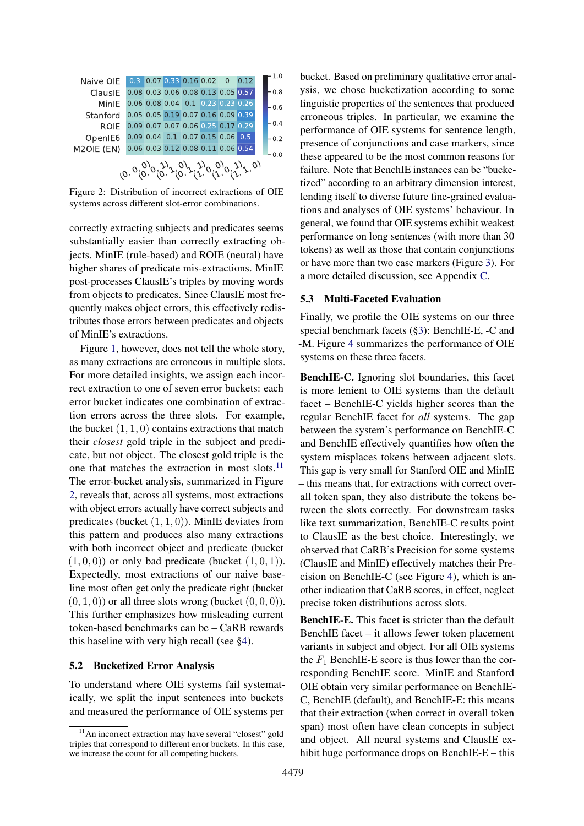<span id="page-7-1"></span>

(0, 0, 0) (0, 0, 1) (0, 1, 0) (0, 1, 1) (1, 0, 0) (1, 0, 1) (1, 1, 0)

Figure 2: Distribution of incorrect extractions of OIE systems across different slot-error combinations.

correctly extracting subjects and predicates seems substantially easier than correctly extracting objects. MinIE (rule-based) and ROIE (neural) have higher shares of predicate mis-extractions. MinIE post-processes ClausIE's triples by moving words from objects to predicates. Since ClausIE most frequently makes object errors, this effectively redistributes those errors between predicates and objects of MinIE's extractions.

Figure [1,](#page-6-0) however, does not tell the whole story, as many extractions are erroneous in multiple slots. For more detailed insights, we assign each incorrect extraction to one of seven error buckets: each error bucket indicates one combination of extraction errors across the three slots. For example, the bucket  $(1, 1, 0)$  contains extractions that match their *closest* gold triple in the subject and predicate, but not object. The closest gold triple is the one that matches the extraction in most slots.<sup>[11](#page-7-0)</sup> The error-bucket analysis, summarized in Figure [2,](#page-7-1) reveals that, across all systems, most extractions with object errors actually have correct subjects and predicates (bucket  $(1, 1, 0)$ ). MinIE deviates from this pattern and produces also many extractions with both incorrect object and predicate (bucket  $(1, 0, 0)$  or only bad predicate (bucket  $(1, 0, 1)$ ). Expectedly, most extractions of our naive baseline most often get only the predicate right (bucket  $(0, 1, 0)$  or all three slots wrong (bucket  $(0, 0, 0)$ ). This further emphasizes how misleading current token-based benchmarks can be – CaRB rewards this baseline with very high recall (see [§4\)](#page-4-0).

#### 5.2 Bucketized Error Analysis

To understand where OIE systems fail systematically, we split the input sentences into buckets and measured the performance of OIE systems per

bucket. Based on preliminary qualitative error analysis, we chose bucketization according to some linguistic properties of the sentences that produced erroneous triples. In particular, we examine the performance of OIE systems for sentence length, presence of conjunctions and case markers, since these appeared to be the most common reasons for failure. Note that BenchIE instances can be "bucketized" according to an arbitrary dimension interest, lending itself to diverse future fine-grained evaluations and analyses of OIE systems' behaviour. In general, we found that OIE systems exhibit weakest performance on long sentences (with more than 30 tokens) as well as those that contain conjunctions or have more than two case markers (Figure [3\)](#page-8-0). For a more detailed discussion, see Appendix [C.](#page-16-0)

#### 5.3 Multi-Faceted Evaluation

Finally, we profile the OIE systems on our three special benchmark facets ([§3\)](#page-3-3): BenchIE-E, -C and -M. Figure [4](#page-8-1) summarizes the performance of OIE systems on these three facets.

BenchIE-C. Ignoring slot boundaries, this facet is more lenient to OIE systems than the default facet – BenchIE-C yields higher scores than the regular BenchIE facet for *all* systems. The gap between the system's performance on BenchIE-C and BenchIE effectively quantifies how often the system misplaces tokens between adjacent slots. This gap is very small for Stanford OIE and MinIE – this means that, for extractions with correct overall token span, they also distribute the tokens between the slots correctly. For downstream tasks like text summarization, BenchIE-C results point to ClausIE as the best choice. Interestingly, we observed that CaRB's Precision for some systems (ClausIE and MinIE) effectively matches their Precision on BenchIE-C (see Figure [4\)](#page-8-1), which is another indication that CaRB scores, in effect, neglect precise token distributions across slots.

BenchIE-E. This facet is stricter than the default BenchIE facet – it allows fewer token placement variants in subject and object. For all OIE systems the  $F_1$  BenchIE-E score is thus lower than the corresponding BenchIE score. MinIE and Stanford OIE obtain very similar performance on BenchIE-C, BenchIE (default), and BenchIE-E: this means that their extraction (when correct in overall token span) most often have clean concepts in subject and object. All neural systems and ClausIE exhibit huge performance drops on BenchIE-E – this

<span id="page-7-0"></span><sup>&</sup>lt;sup>11</sup>An incorrect extraction may have several "closest" gold triples that correspond to different error buckets. In this case, we increase the count for all competing buckets.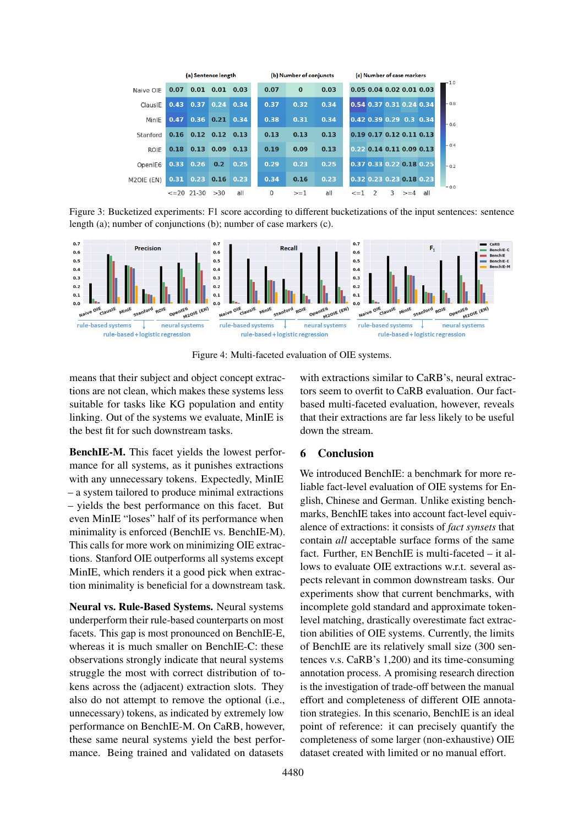<span id="page-8-0"></span>

|             | (a) Sentence length | (b) Number of conjuncts |             |                   |      | (c) Number of case markers |      |  |                |   |   |                          |                            |        |
|-------------|---------------------|-------------------------|-------------|-------------------|------|----------------------------|------|--|----------------|---|---|--------------------------|----------------------------|--------|
| Naive OIE   | 0.07                | 0.01                    | 0.01        | 0.03              | 0.07 | $\bf{0}$                   | 0.03 |  |                |   |   |                          | 0.05 0.04 0.02 0.01 0.03   | 1.0    |
| ClausIE     | 0.43                | 0.37                    |             | $0.24 \quad 0.34$ | 0.37 | 0.32                       | 0.34 |  |                |   |   | 0.54 0.37 0.31 0.24 0.34 |                            | $-0.8$ |
| MinIE       | 0.47                | 0.36                    | 0.21        | 0.34              | 0.38 | 0.31                       | 0.34 |  |                |   |   | 0.42 0.39 0.29 0.3 0.34  |                            | $-0.6$ |
| Stanford    | 0.16                | $0.12$ $0.12$           |             | 0.13              | 0.13 | 0.13                       | 0.13 |  |                |   |   |                          | 0.19 0.17 0.12 0.11 0.13   |        |
| <b>ROIE</b> | 0.18                | $0.13 \quad 0.09$       |             | 0.13              | 0.19 | 0.09                       | 0.13 |  |                |   |   |                          | $0.22$ 0.14 0.11 0.09 0.13 | $-0.4$ |
| OpenIE6     | 0.33                | 0.26                    | 0.2         | 0.25              | 0.29 | 0.23                       | 0.25 |  |                |   |   |                          | 0.37 0.33 0.22 0.18 0.25   | $-0.2$ |
| M2OIE (EN)  | 0.31                | 0.23                    | $0.16$ 0.23 |                   | 0.34 | 0.16                       | 0.23 |  |                |   |   |                          | 0.32 0.23 0.23 0.18 0.23   |        |
|             |                     | $\leq$ = 20 21 - 30     | >30         | all               | 0    | $>=1$                      | all  |  | $\leq$ $=$ $1$ | 2 | 3 | $>= 4$                   | all                        | $-0.0$ |

Figure 3: Bucketized experiments: F1 score according to different bucketizations of the input sentences: sentence length (a); number of conjunctions (b); number of case markers (c).

<span id="page-8-1"></span>

Figure 4: Multi-faceted evaluation of OIE systems.

means that their subject and object concept extractions are not clean, which makes these systems less suitable for tasks like KG population and entity linking. Out of the systems we evaluate, MinIE is the best fit for such downstream tasks.

BenchIE-M. This facet yields the lowest performance for all systems, as it punishes extractions with any unnecessary tokens. Expectedly, MinIE – a system tailored to produce minimal extractions – yields the best performance on this facet. But even MinIE "loses" half of its performance when minimality is enforced (BenchIE vs. BenchIE-M). This calls for more work on minimizing OIE extractions. Stanford OIE outperforms all systems except MinIE, which renders it a good pick when extraction minimality is beneficial for a downstream task.

Neural vs. Rule-Based Systems. Neural systems underperform their rule-based counterparts on most facets. This gap is most pronounced on BenchIE-E, whereas it is much smaller on BenchIE-C: these observations strongly indicate that neural systems struggle the most with correct distribution of tokens across the (adjacent) extraction slots. They also do not attempt to remove the optional (i.e., unnecessary) tokens, as indicated by extremely low performance on BenchIE-M. On CaRB, however, these same neural systems yield the best performance. Being trained and validated on datasets

with extractions similar to CaRB's, neural extractors seem to overfit to CaRB evaluation. Our factbased multi-faceted evaluation, however, reveals that their extractions are far less likely to be useful down the stream.

## 6 Conclusion

We introduced BenchIE: a benchmark for more reliable fact-level evaluation of OIE systems for English, Chinese and German. Unlike existing benchmarks, BenchIE takes into account fact-level equivalence of extractions: it consists of *fact synsets* that contain *all* acceptable surface forms of the same fact. Further, EN BenchIE is multi-faceted – it allows to evaluate OIE extractions w.r.t. several aspects relevant in common downstream tasks. Our experiments show that current benchmarks, with incomplete gold standard and approximate tokenlevel matching, drastically overestimate fact extraction abilities of OIE systems. Currently, the limits of BenchIE are its relatively small size (300 sentences v.s. CaRB's 1,200) and its time-consuming annotation process. A promising research direction is the investigation of trade-off between the manual effort and completeness of different OIE annotation strategies. In this scenario, BenchIE is an ideal point of reference: it can precisely quantify the completeness of some larger (non-exhaustive) OIE dataset created with limited or no manual effort.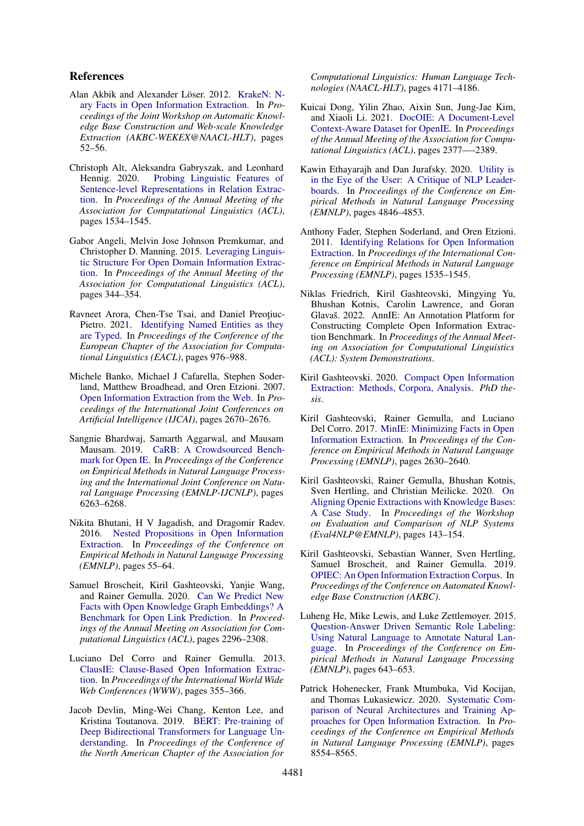# References

- <span id="page-9-7"></span>Alan Akbik and Alexander Löser. 2012. [KrakeN: N](https://aclanthology.org/W12-3010/)[ary Facts in Open Information Extraction.](https://aclanthology.org/W12-3010/) In *Proceedings of the Joint Workshop on Automatic Knowledge Base Construction and Web-scale Knowledge Extraction (AKBC-WEKEX@NAACL-HLT)*, pages 52–56.
- <span id="page-9-16"></span>Christoph Alt, Aleksandra Gabryszak, and Leonhard Hennig. 2020. [Probing Linguistic Features of](https://aclanthology.org/2020.acl-main.140/) [Sentence-level Representations in Relation Extrac](https://aclanthology.org/2020.acl-main.140/)[tion.](https://aclanthology.org/2020.acl-main.140/) In *Proceedings of the Annual Meeting of the Association for Computational Linguistics (ACL)*, pages 1534–1545.
- <span id="page-9-13"></span>Gabor Angeli, Melvin Jose Johnson Premkumar, and Christopher D. Manning. 2015. [Leveraging Linguis](https://aclanthology.org/P15-1034/)[tic Structure For Open Domain Information Extrac](https://aclanthology.org/P15-1034/)[tion.](https://aclanthology.org/P15-1034/) In *Proceedings of the Annual Meeting of the Association for Computational Linguistics (ACL)*, pages 344–354.
- <span id="page-9-17"></span>Ravneet Arora, Chen-Tse Tsai, and Daniel Preoțiuc-Pietro. 2021. [Identifying Named Entities as they](https://aclanthology.org/2021.eacl-main.84/) [are Typed.](https://aclanthology.org/2021.eacl-main.84/) In *Proceedings of the Conference of the European Chapter of the Association for Computational Linguistics (EACL)*, pages 976–988.
- <span id="page-9-0"></span>Michele Banko, Michael J Cafarella, Stephen Soderland, Matthew Broadhead, and Oren Etzioni. 2007. [Open Information Extraction from the Web.](https://www.aaai.org/Papers/IJCAI/2007/IJCAI07-429.pdf) In *Proceedings of the International Joint Conferences on Artificial Intelligence (IJCAI)*, pages 2670–2676.
- <span id="page-9-3"></span>Sangnie Bhardwaj, Samarth Aggarwal, and Mausam Mausam. 2019. [CaRB: A Crowdsourced Bench](https://aclanthology.org/D19-1651/)[mark for Open IE.](https://aclanthology.org/D19-1651/) In *Proceedings of the Conference on Empirical Methods in Natural Language Processing and the International Joint Conference on Natural Language Processing (EMNLP-IJCNLP)*, pages 6263–6268.
- <span id="page-9-8"></span>Nikita Bhutani, H V Jagadish, and Dragomir Radev. 2016. [Nested Propositions in Open Information](https://aclanthology.org/D16-1006/) [Extraction.](https://aclanthology.org/D16-1006/) In *Proceedings of the Conference on Empirical Methods in Natural Language Processing (EMNLP)*, pages 55–64.
- <span id="page-9-2"></span>Samuel Broscheit, Kiril Gashteovski, Yanjie Wang, and Rainer Gemulla. 2020. [Can We Predict New](https://aclanthology.org/2020.acl-main.209/) [Facts with Open Knowledge Graph Embeddings? A](https://aclanthology.org/2020.acl-main.209/) [Benchmark for Open Link Prediction.](https://aclanthology.org/2020.acl-main.209/) In *Proceedings of the Annual Meeting on Association for Computational Linguistics (ACL)*, pages 2296–2308.
- <span id="page-9-12"></span>Luciano Del Corro and Rainer Gemulla. 2013. [ClausIE: Clause-Based Open Information Extrac](https://dl.acm.org/doi/10.1145/2488388.2488420)[tion.](https://dl.acm.org/doi/10.1145/2488388.2488420) In *Proceedings of the International World Wide Web Conferences (WWW)*, pages 355–366.
- <span id="page-9-15"></span>Jacob Devlin, Ming-Wei Chang, Kenton Lee, and Kristina Toutanova. 2019. [BERT: Pre-training of](https://aclanthology.org/N19-1423/) [Deep Bidirectional Transformers for Language Un](https://aclanthology.org/N19-1423/)[derstanding.](https://aclanthology.org/N19-1423/) In *Proceedings of the Conference of the North American Chapter of the Association for*

*Computational Linguistics: Human Language Technologies (NAACL-HLT)*, pages 4171–4186.

- <span id="page-9-19"></span>Kuicai Dong, Yilin Zhao, Aixin Sun, Jung-Jae Kim, and Xiaoli Li. 2021. [DocOIE: A Document-Level](https://aclanthology.org/2021.findings-acl.210/) [Context-Aware Dataset for OpenIE.](https://aclanthology.org/2021.findings-acl.210/) In *Proceedings of the Annual Meeting of the Association for Computational Linguistics (ACL)*, pages 2377—-2389.
- <span id="page-9-10"></span>Kawin Ethayarajh and Dan Jurafsky. 2020. [Utility is](https://aclanthology.org/2020.emnlp-main.393/) [in the Eye of the User: A Critique of NLP Leader](https://aclanthology.org/2020.emnlp-main.393/)[boards.](https://aclanthology.org/2020.emnlp-main.393/) In *Proceedings of the Conference on Empirical Methods in Natural Language Processing (EMNLP)*, pages 4846–4853.
- <span id="page-9-11"></span>Anthony Fader, Stephen Soderland, and Oren Etzioni. 2011. [Identifying Relations for Open Information](https://aclanthology.org/D11-1142/) [Extraction.](https://aclanthology.org/D11-1142/) In *Proceedings of the International Conference on Empirical Methods in Natural Language Processing (EMNLP)*, pages 1535–1545.
- <span id="page-9-9"></span>Niklas Friedrich, Kiril Gashteovski, Mingying Yu, Bhushan Kotnis, Carolin Lawrence, and Goran Glavaš. 2022. AnnIE: An Annotation Platform for Constructing Complete Open Information Extraction Benchmark. In *Proceedings of the Annual Meeting on Association for Computational Linguistics (ACL): System Demonstrations*.
- <span id="page-9-14"></span>Kiril Gashteovski. 2020. [Compact Open Information](https://madoc.bib.uni-mannheim.de/59813/1/thesis-kiril-gashteovski-final.pdf) [Extraction: Methods, Corpora, Analysis.](https://madoc.bib.uni-mannheim.de/59813/1/thesis-kiril-gashteovski-final.pdf) *PhD thesis*.
- <span id="page-9-5"></span>Kiril Gashteovski, Rainer Gemulla, and Luciano Del Corro. 2017. [MinIE: Minimizing Facts in Open](https://aclanthology.org/D17-1278/) [Information Extraction.](https://aclanthology.org/D17-1278/) In *Proceedings of the Conference on Empirical Methods in Natural Language Processing (EMNLP)*, pages 2630–2640.
- <span id="page-9-1"></span>Kiril Gashteovski, Rainer Gemulla, Bhushan Kotnis, Sven Hertling, and Christian Meilicke. 2020. [On](https://aclanthology.org/2020.eval4nlp-1.14/) [Aligning Openie Extractions with Knowledge Bases:](https://aclanthology.org/2020.eval4nlp-1.14/) [A Case Study.](https://aclanthology.org/2020.eval4nlp-1.14/) In *Proceedings of the Workshop on Evaluation and Comparison of NLP Systems (Eval4NLP@EMNLP)*, pages 143–154.
- <span id="page-9-6"></span>Kiril Gashteovski, Sebastian Wanner, Sven Hertling, Samuel Broscheit, and Rainer Gemulla. 2019. [OPIEC: An Open Information Extraction Corpus.](https://arxiv.org/abs/1904.12324) In *Proceedings of the Conference on Automated Knowledge Base Construction (AKBC)*.
- <span id="page-9-18"></span>Luheng He, Mike Lewis, and Luke Zettlemoyer. 2015. [Question-Answer Driven Semantic Role Labeling:](https://aclanthology.org/D15-1076/) [Using Natural Language to Annotate Natural Lan](https://aclanthology.org/D15-1076/)[guage.](https://aclanthology.org/D15-1076/) In *Proceedings of the Conference on Empirical Methods in Natural Language Processing (EMNLP)*, pages 643–653.
- <span id="page-9-4"></span>Patrick Hohenecker, Frank Mtumbuka, Vid Kocijan, and Thomas Lukasiewicz. 2020. [Systematic Com](https://aclanthology.org/2020.emnlp-main.690/)[parison of Neural Architectures and Training Ap](https://aclanthology.org/2020.emnlp-main.690/)[proaches for Open Information Extraction.](https://aclanthology.org/2020.emnlp-main.690/) In *Proceedings of the Conference on Empirical Methods in Natural Language Processing (EMNLP)*, pages 8554–8565.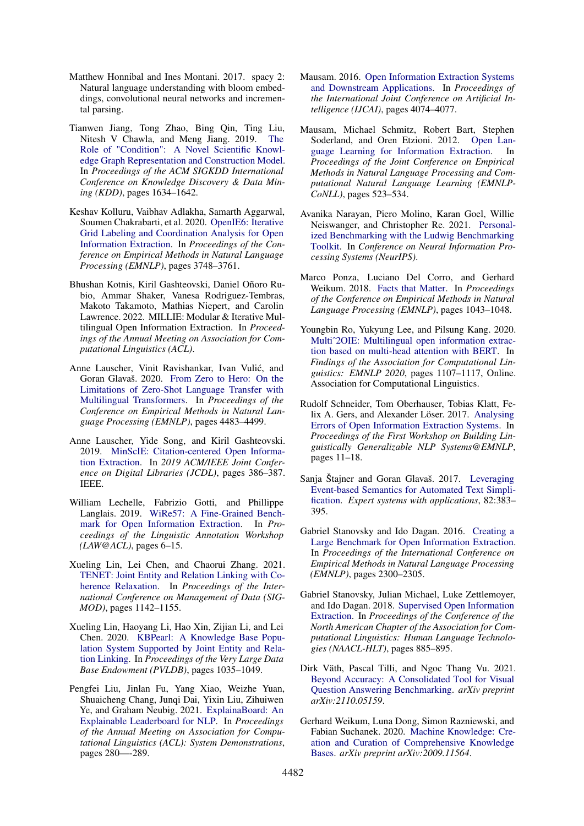- <span id="page-10-17"></span>Matthew Honnibal and Ines Montani. 2017. spacy 2: Natural language understanding with bloom embeddings, convolutional neural networks and incremental parsing.
- <span id="page-10-13"></span>Tianwen Jiang, Tong Zhao, Bing Qin, Ting Liu, Nitesh V Chawla, and Meng Jiang. 2019. [The](https://dl.acm.org/doi/10.1145/3292500.3330942) [Role of "Condition": A Novel Scientific Knowl](https://dl.acm.org/doi/10.1145/3292500.3330942)[edge Graph Representation and Construction Model.](https://dl.acm.org/doi/10.1145/3292500.3330942) In *Proceedings of the ACM SIGKDD International Conference on Knowledge Discovery & Data Mining (KDD)*, pages 1634–1642.
- <span id="page-10-16"></span>Keshav Kolluru, Vaibhav Adlakha, Samarth Aggarwal, Soumen Chakrabarti, et al. 2020. [OpenIE6: Iterative](https://aclanthology.org/2020.emnlp-main.306/) [Grid Labeling and Coordination Analysis for Open](https://aclanthology.org/2020.emnlp-main.306/) [Information Extraction.](https://aclanthology.org/2020.emnlp-main.306/) In *Proceedings of the Conference on Empirical Methods in Natural Language Processing (EMNLP)*, pages 3748–3761.
- <span id="page-10-8"></span>Bhushan Kotnis, Kiril Gashteovski, Daniel Oñoro Rubio, Ammar Shaker, Vanesa Rodriguez-Tembras, Makoto Takamoto, Mathias Niepert, and Carolin Lawrence. 2022. MILLIE: Modular & Iterative Multilingual Open Information Extraction. In *Proceedings of the Annual Meeting on Association for Computational Linguistics (ACL)*.
- <span id="page-10-18"></span>Anne Lauscher, Vinit Ravishankar, Ivan Vulic, and ´ Goran Glavaš. 2020. [From Zero to Hero: On the](https://aclanthology.org/2020.emnlp-main.363/) [Limitations of Zero-Shot Language Transfer with](https://aclanthology.org/2020.emnlp-main.363/) [Multilingual Transformers.](https://aclanthology.org/2020.emnlp-main.363/) In *Proceedings of the Conference on Empirical Methods in Natural Language Processing (EMNLP)*, pages 4483–4499.
- <span id="page-10-7"></span>Anne Lauscher, Yide Song, and Kiril Gashteovski. 2019. [MinScIE: Citation-centered Open Informa](https://ieeexplore.ieee.org/abstract/document/8791192)[tion Extraction.](https://ieeexplore.ieee.org/abstract/document/8791192) In *2019 ACM/IEEE Joint Conference on Digital Libraries (JCDL)*, pages 386–387. IEEE.
- <span id="page-10-2"></span>William Lechelle, Fabrizio Gotti, and Phillippe Langlais. 2019. [WiRe57: A Fine-Grained Bench](https://aclanthology.org/W19-4002/)[mark for Open Information Extraction.](https://aclanthology.org/W19-4002/) In *Proceedings of the Linguistic Annotation Workshop (LAW@ACL)*, pages 6–15.
- <span id="page-10-14"></span>Xueling Lin, Lei Chen, and Chaorui Zhang. 2021. [TENET: Joint Entity and Relation Linking with Co](https://dl.acm.org/doi/abs/10.1145/3448016.3457280)[herence Relaxation.](https://dl.acm.org/doi/abs/10.1145/3448016.3457280) In *Proceedings of the International Conference on Management of Data (SIG-MOD)*, pages 1142–1155.
- <span id="page-10-4"></span>Xueling Lin, Haoyang Li, Hao Xin, Zijian Li, and Lei Chen. 2020. [KBPearl: A Knowledge Base Popu](http://www.vldb.org/pvldb/vol13/p1035-lin.pdf)[lation System Supported by Joint Entity and Rela](http://www.vldb.org/pvldb/vol13/p1035-lin.pdf)[tion Linking.](http://www.vldb.org/pvldb/vol13/p1035-lin.pdf) In *Proceedings of the Very Large Data Base Endowment (PVLDB)*, pages 1035–1049.
- <span id="page-10-11"></span>Pengfei Liu, Jinlan Fu, Yang Xiao, Weizhe Yuan, Shuaicheng Chang, Junqi Dai, Yixin Liu, Zihuiwen Ye, and Graham Neubig. 2021. [ExplainaBoard: An](https://aclanthology.org/2021.acl-demo.34/) [Explainable Leaderboard for NLP.](https://aclanthology.org/2021.acl-demo.34/) In *Proceedings of the Annual Meeting on Association for Computational Linguistics (ACL): System Demonstrations*, pages 280—-289.
- <span id="page-10-0"></span>Mausam. 2016. [Open Information Extraction Systems](https://www.ijcai.org/Proceedings/16/Papers/604.pdf) [and Downstream Applications.](https://www.ijcai.org/Proceedings/16/Papers/604.pdf) In *Proceedings of the International Joint Conference on Artificial Intelligence (IJCAI)*, pages 4074–4077.
- <span id="page-10-20"></span>Mausam, Michael Schmitz, Robert Bart, Stephen Soderland, and Oren Etzioni. 2012. [Open Lan](https://aclanthology.org/D12-1048/)[guage Learning for Information Extraction.](https://aclanthology.org/D12-1048/) In *Proceedings of the Joint Conference on Empirical Methods in Natural Language Processing and Computational Natural Language Learning (EMNLP-CoNLL)*, pages 523–534.
- <span id="page-10-10"></span>Avanika Narayan, Piero Molino, Karan Goel, Willie Neiswanger, and Christopher Re. 2021. [Personal](https://openreview.net/pdf?id=hwjnu6qW7E4)[ized Benchmarking with the Ludwig Benchmarking](https://openreview.net/pdf?id=hwjnu6qW7E4) [Toolkit.](https://openreview.net/pdf?id=hwjnu6qW7E4) In *Conference on Neural Information Processing Systems (NeurIPS)*.
- <span id="page-10-3"></span>Marco Ponza, Luciano Del Corro, and Gerhard Weikum. 2018. [Facts that Matter.](https://aclanthology.org/D18-1129/) In *Proceedings of the Conference on Empirical Methods in Natural Language Processing (EMNLP)*, pages 1043–1048.
- <span id="page-10-5"></span>Youngbin Ro, Yukyung Lee, and Pilsung Kang. 2020. [Multiˆ2OIE: Multilingual open information extrac](https://aclanthology.org/2020.findings-emnlp.99/)[tion based on multi-head attention with BERT.](https://aclanthology.org/2020.findings-emnlp.99/) In *Findings of the Association for Computational Linguistics: EMNLP 2020*, pages 1107–1117, Online. Association for Computational Linguistics.
- <span id="page-10-19"></span>Rudolf Schneider, Tom Oberhauser, Tobias Klatt, Felix A. Gers, and Alexander Löser. 2017. [Analysing](https://www.aclweb.org/anthology/W17-5402) [Errors of Open Information Extraction Systems.](https://www.aclweb.org/anthology/W17-5402) In *Proceedings of the First Workshop on Building Linguistically Generalizable NLP Systems@EMNLP*, pages 11–18.
- <span id="page-10-9"></span>Sanja Štajner and Goran Glavaš. 2017. [Leveraging](https://www.sciencedirect.com/science/article/abs/pii/S0957417417302385) [Event-based Semantics for Automated Text Simpli](https://www.sciencedirect.com/science/article/abs/pii/S0957417417302385)[fication.](https://www.sciencedirect.com/science/article/abs/pii/S0957417417302385) *Expert systems with applications*, 82:383– 395.
- <span id="page-10-1"></span>Gabriel Stanovsky and Ido Dagan. 2016. [Creating a](https://aclanthology.org/D16-1252/) [Large Benchmark for Open Information Extraction.](https://aclanthology.org/D16-1252/) In *Proceedings of the International Conference on Empirical Methods in Natural Language Processing (EMNLP)*, pages 2300–2305.
- <span id="page-10-6"></span>Gabriel Stanovsky, Julian Michael, Luke Zettlemoyer, and Ido Dagan. 2018. [Supervised Open Information](https://aclanthology.org/N18-1081/) [Extraction.](https://aclanthology.org/N18-1081/) In *Proceedings of the Conference of the North American Chapter of the Association for Computational Linguistics: Human Language Technologies (NAACL-HLT)*, pages 885–895.
- <span id="page-10-12"></span>Dirk Väth, Pascal Tilli, and Ngoc Thang Vu. 2021. [Beyond Accuracy: A Consolidated Tool for Visual](https://arxiv.org/pdf/2110.05159.pdf) [Question Answering Benchmarking.](https://arxiv.org/pdf/2110.05159.pdf) *arXiv preprint arXiv:2110.05159*.
- <span id="page-10-15"></span>Gerhard Weikum, Luna Dong, Simon Razniewski, and Fabian Suchanek. 2020. [Machine Knowledge: Cre](https://arxiv.org/pdf/2009.11564.pdf)[ation and Curation of Comprehensive Knowledge](https://arxiv.org/pdf/2009.11564.pdf) [Bases.](https://arxiv.org/pdf/2009.11564.pdf) *arXiv preprint arXiv:2009.11564*.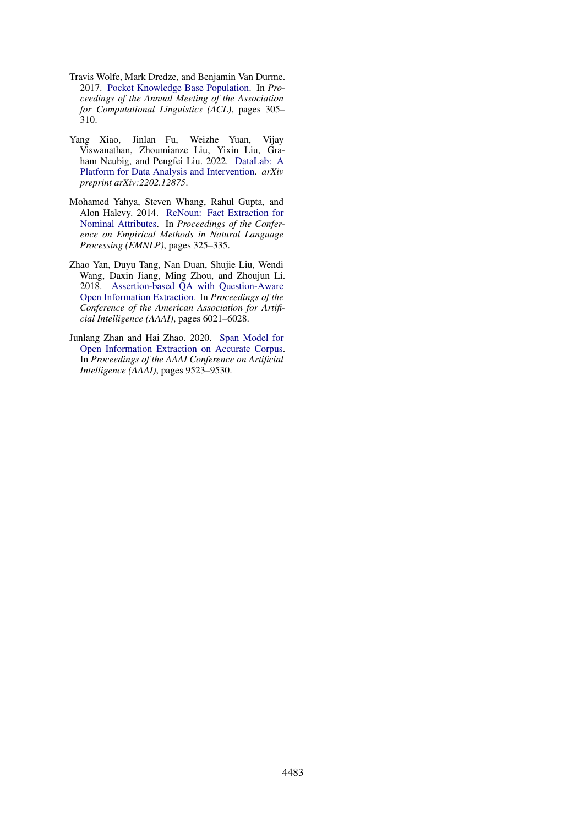- <span id="page-11-4"></span>Travis Wolfe, Mark Dredze, and Benjamin Van Durme. 2017. [Pocket Knowledge Base Population.](https://aclanthology.org/P17-2048/) In *Proceedings of the Annual Meeting of the Association for Computational Linguistics (ACL)*, pages 305– 310.
- <span id="page-11-3"></span>Yang Xiao, Jinlan Fu, Weizhe Yuan, Vijay Viswanathan, Zhoumianze Liu, Yixin Liu, Graham Neubig, and Pengfei Liu. 2022. [DataLab: A](https://arxiv.org/pdf/2202.12875.pdf) [Platform for Data Analysis and Intervention.](https://arxiv.org/pdf/2202.12875.pdf) *arXiv preprint arXiv:2202.12875*.
- <span id="page-11-2"></span>Mohamed Yahya, Steven Whang, Rahul Gupta, and Alon Halevy. 2014. [ReNoun: Fact Extraction for](https://aclanthology.org/D14-1038/) [Nominal Attributes.](https://aclanthology.org/D14-1038/) In *Proceedings of the Conference on Empirical Methods in Natural Language Processing (EMNLP)*, pages 325–335.
- <span id="page-11-0"></span>Zhao Yan, Duyu Tang, Nan Duan, Shujie Liu, Wendi Wang, Daxin Jiang, Ming Zhou, and Zhoujun Li. 2018. [Assertion-based QA with Question-Aware](https://www.aaai.org/ocs/index.php/AAAI/AAAI18/paper/download/16705/16170) [Open Information Extraction.](https://www.aaai.org/ocs/index.php/AAAI/AAAI18/paper/download/16705/16170) In *Proceedings of the Conference of the American Association for Artificial Intelligence (AAAI)*, pages 6021–6028.
- <span id="page-11-1"></span>Junlang Zhan and Hai Zhao. 2020. [Span Model for](https://arxiv.org/abs/1901.10879) [Open Information Extraction on Accurate Corpus.](https://arxiv.org/abs/1901.10879) In *Proceedings of the AAAI Conference on Artificial Intelligence (AAAI)*, pages 9523–9530.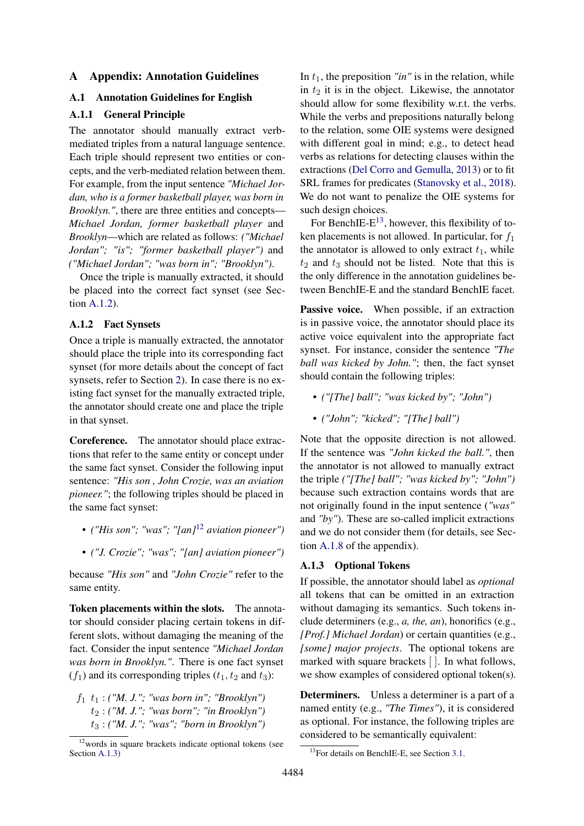### A Appendix: Annotation Guidelines

### <span id="page-12-0"></span>A.1 Annotation Guidelines for English

# A.1.1 General Principle

The annotator should manually extract verbmediated triples from a natural language sentence. Each triple should represent two entities or concepts, and the verb-mediated relation between them. For example, from the input sentence *"Michael Jordan, who is a former basketball player, was born in Brooklyn."*, there are three entities and concepts— *Michael Jordan, former basketball player* and *Brooklyn*—which are related as follows: *("Michael Jordan"; "is"; "former basketball player")* and *("Michael Jordan"; "was born in"; "Brooklyn")*.

Once the triple is manually extracted, it should be placed into the correct fact synset (see Section [A.1.2\)](#page-12-2).

#### <span id="page-12-2"></span>A.1.2 Fact Synsets

Once a triple is manually extracted, the annotator should place the triple into its corresponding fact synset (for more details about the concept of fact synsets, refer to Section [2\)](#page-1-1). In case there is no existing fact synset for the manually extracted triple, the annotator should create one and place the triple in that synset.

Coreference. The annotator should place extractions that refer to the same entity or concept under the same fact synset. Consider the following input sentence: *"His son , John Crozie, was an aviation pioneer.*"; the following triples should be placed in the same fact synset:

- *("His son"; "was"; "[an]*[12](#page-12-3) *aviation pioneer")*
- *("J. Crozie"; "was"; "[an] aviation pioneer")*

because *"His son"* and *"John Crozie"* refer to the same entity.

Token placements within the slots. The annotator should consider placing certain tokens in different slots, without damaging the meaning of the fact. Consider the input sentence *"Michael Jordan was born in Brooklyn."*. There is one fact synset  $(f_1)$  and its corresponding triples  $(t_1, t_2 \text{ and } t_3)$ :

 $f_1$   $t_1$  : *("M. J."; "was born in"; "Brooklyn")* t<sup>2</sup> : *("M. J."; "was born"; "in Brooklyn")* t<sup>3</sup> : *("M. J."; "was"; "born in Brooklyn")* In  $t_1$ , the preposition *"in"* is in the relation, while in  $t_2$  it is in the object. Likewise, the annotator should allow for some flexibility w.r.t. the verbs. While the verbs and prepositions naturally belong to the relation, some OIE systems were designed with different goal in mind; e.g., to detect head verbs as relations for detecting clauses within the extractions [\(Del Corro and Gemulla,](#page-9-12) [2013\)](#page-9-12) or to fit SRL frames for predicates [\(Stanovsky et al.,](#page-10-6) [2018\)](#page-10-6). We do not want to penalize the OIE systems for such design choices.

For BenchIE- $E^{13}$  $E^{13}$  $E^{13}$ , however, this flexibility of token placements is not allowed. In particular, for  $f_1$ the annotator is allowed to only extract  $t_1$ , while  $t_2$  and  $t_3$  should not be listed. Note that this is the only difference in the annotation guidelines between BenchIE-E and the standard BenchIE facet.

Passive voice. When possible, if an extraction is in passive voice, the annotator should place its active voice equivalent into the appropriate fact synset. For instance, consider the sentence *"The ball was kicked by John."*; then, the fact synset should contain the following triples:

- *("[The] ball"; "was kicked by"; "John")*
- *("John"; "kicked"; "[The] ball")*

Note that the opposite direction is not allowed. If the sentence was *"John kicked the ball."*, then the annotator is not allowed to manually extract the triple *("[The] ball"; "was kicked by"; "John")* because such extraction contains words that are not originally found in the input sentence (*"was"* and *"by"*). These are so-called implicit extractions and we do not consider them (for details, see Section [A.1.8](#page-13-0) of the appendix).

#### <span id="page-12-1"></span>A.1.3 Optional Tokens

If possible, the annotator should label as *optional* all tokens that can be omitted in an extraction without damaging its semantics. Such tokens include determiners (e.g., *a, the, an*), honorifics (e.g., *[Prof.] Michael Jordan*) or certain quantities (e.g., *[some] major projects*. The optional tokens are marked with square brackets [ ]. In what follows, we show examples of considered optional token(s).

Determiners. Unless a determiner is a part of a named entity (e.g., *"The Times"*), it is considered as optional. For instance, the following triples are considered to be semantically equivalent:

<span id="page-12-3"></span> $12$  words in square brackets indicate optional tokens (see Section [A.1.3\)](#page-12-1)

<span id="page-12-4"></span><sup>&</sup>lt;sup>13</sup>For details on BenchIE-E, see Section [3.1.](#page-4-4)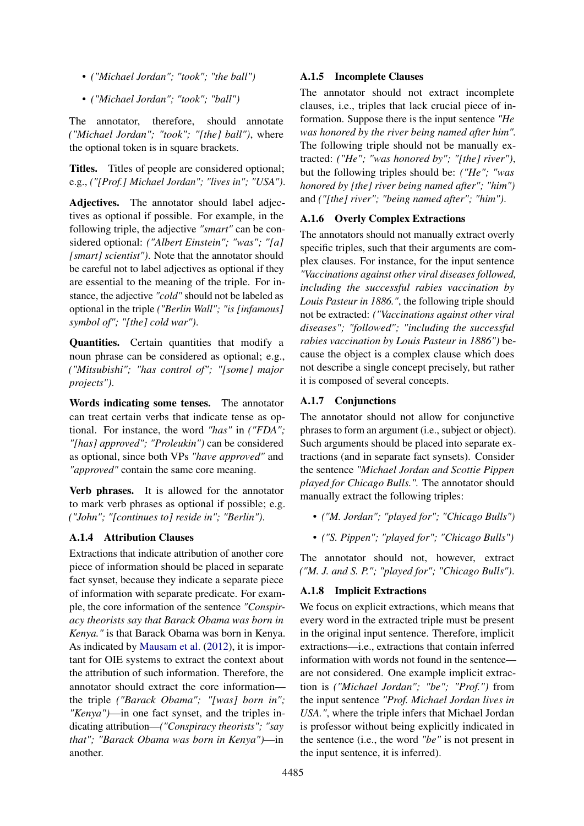- *("Michael Jordan"; "took"; "the ball")*
- *("Michael Jordan"; "took"; "ball")*

The annotator, therefore, should annotate *("Michael Jordan"; "took"; "[the] ball")*, where the optional token is in square brackets.

Titles. Titles of people are considered optional; e.g., *("[Prof.] Michael Jordan"; "lives in"; "USA")*.

Adjectives. The annotator should label adjectives as optional if possible. For example, in the following triple, the adjective *"smart"* can be considered optional: *("Albert Einstein"; "was"; "[a] [smart] scientist")*. Note that the annotator should be careful not to label adjectives as optional if they are essential to the meaning of the triple. For instance, the adjective *"cold"* should not be labeled as optional in the triple *("Berlin Wall"; "is [infamous] symbol of"; "[the] cold war")*.

Quantities. Certain quantities that modify a noun phrase can be considered as optional; e.g., *("Mitsubishi"; "has control of"; "[some] major projects")*.

Words indicating some tenses. The annotator can treat certain verbs that indicate tense as optional. For instance, the word *"has"* in *("FDA"; "[has] approved"; "Proleukin")* can be considered as optional, since both VPs *"have approved"* and *"approved"* contain the same core meaning.

Verb phrases. It is allowed for the annotator to mark verb phrases as optional if possible; e.g. *("John"; "[continues to] reside in"; "Berlin")*.

# A.1.4 Attribution Clauses

Extractions that indicate attribution of another core piece of information should be placed in separate fact synset, because they indicate a separate piece of information with separate predicate. For example, the core information of the sentence *"Conspiracy theorists say that Barack Obama was born in Kenya."* is that Barack Obama was born in Kenya. As indicated by [Mausam et al.](#page-10-20) [\(2012\)](#page-10-20), it is important for OIE systems to extract the context about the attribution of such information. Therefore, the annotator should extract the core information the triple *("Barack Obama"; "[was] born in"; "Kenya")*—in one fact synset, and the triples indicating attribution—*("Conspiracy theorists"; "say that"; "Barack Obama was born in Kenya")*—in another.

# A.1.5 Incomplete Clauses

The annotator should not extract incomplete clauses, i.e., triples that lack crucial piece of information. Suppose there is the input sentence *"He was honored by the river being named after him".* The following triple should not be manually extracted: *("He"; "was honored by"; "[the] river")*, but the following triples should be: *("He"; "was honored by [the] river being named after"; "him")* and *("[the] river"; "being named after"; "him")*.

# A.1.6 Overly Complex Extractions

The annotators should not manually extract overly specific triples, such that their arguments are complex clauses. For instance, for the input sentence *"Vaccinations against other viral diseases followed, including the successful rabies vaccination by Louis Pasteur in 1886."*, the following triple should not be extracted: *("Vaccinations against other viral diseases"; "followed"; "including the successful rabies vaccination by Louis Pasteur in 1886")* because the object is a complex clause which does not describe a single concept precisely, but rather it is composed of several concepts.

# A.1.7 Conjunctions

The annotator should not allow for conjunctive phrases to form an argument (i.e., subject or object). Such arguments should be placed into separate extractions (and in separate fact synsets). Consider the sentence *"Michael Jordan and Scottie Pippen played for Chicago Bulls.".* The annotator should manually extract the following triples:

- *("M. Jordan"; "played for"; "Chicago Bulls")*
- *("S. Pippen"; "played for"; "Chicago Bulls")*

The annotator should not, however, extract *("M. J. and S. P."; "played for"; "Chicago Bulls")*.

# <span id="page-13-0"></span>A.1.8 Implicit Extractions

We focus on explicit extractions, which means that every word in the extracted triple must be present in the original input sentence. Therefore, implicit extractions—i.e., extractions that contain inferred information with words not found in the sentence are not considered. One example implicit extraction is *("Michael Jordan"; "be"; "Prof.")* from the input sentence *"Prof. Michael Jordan lives in USA."*, where the triple infers that Michael Jordan is professor without being explicitly indicated in the sentence (i.e., the word *"be"* is not present in the input sentence, it is inferred).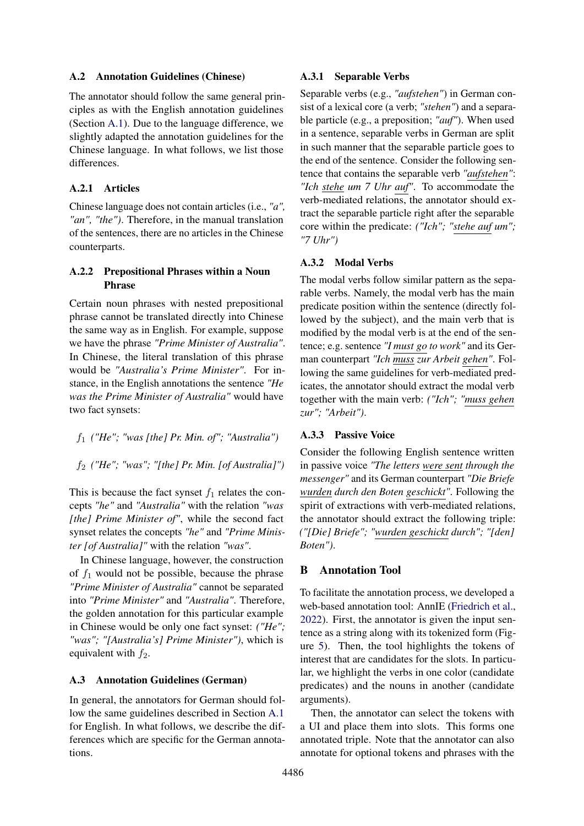### <span id="page-14-1"></span>A.2 Annotation Guidelines (Chinese)

The annotator should follow the same general principles as with the English annotation guidelines (Section [A.1\)](#page-12-0). Due to the language difference, we slightly adapted the annotation guidelines for the Chinese language. In what follows, we list those differences.

# A.2.1 Articles

Chinese language does not contain articles (i.e., *"a", "an", "the")*. Therefore, in the manual translation of the sentences, there are no articles in the Chinese counterparts.

# A.2.2 Prepositional Phrases within a Noun Phrase

Certain noun phrases with nested prepositional phrase cannot be translated directly into Chinese the same way as in English. For example, suppose we have the phrase *"Prime Minister of Australia"*. In Chinese, the literal translation of this phrase would be *"Australia's Prime Minister"*. For instance, in the English annotations the sentence *"He was the Prime Minister of Australia"* would have two fact synsets:

f<sup>1</sup> *("He"; "was [the] Pr. Min. of"; "Australia")*

f<sup>2</sup> *("He"; "was"; "[the] Pr. Min. [of Australia]")*

This is because the fact synset  $f_1$  relates the concepts *"he"* and *"Australia"* with the relation *"was [the] Prime Minister of"*, while the second fact synset relates the concepts *"he"* and *"Prime Minister [of Australia]"* with the relation *"was"*.

In Chinese language, however, the construction of  $f_1$  would not be possible, because the phrase *"Prime Minister of Australia"* cannot be separated into *"Prime Minister"* and *"Australia"*. Therefore, the golden annotation for this particular example in Chinese would be only one fact synset: *("He"; "was"; "[Australia's] Prime Minister")*, which is equivalent with  $f_2$ .

### <span id="page-14-2"></span>A.3 Annotation Guidelines (German)

In general, the annotators for German should follow the same guidelines described in Section [A.1](#page-12-0) for English. In what follows, we describe the differences which are specific for the German annotations.

#### A.3.1 Separable Verbs

Separable verbs (e.g., *"aufstehen"*) in German consist of a lexical core (a verb; *"stehen"*) and a separable particle (e.g., a preposition; *"auf"*). When used in a sentence, separable verbs in German are split in such manner that the separable particle goes to the end of the sentence. Consider the following sentence that contains the separable verb *"aufstehen"*: *"Ich stehe um 7 Uhr auf"*. To accommodate the verb-mediated relations, the annotator should extract the separable particle right after the separable core within the predicate: *("Ich"; "stehe auf um"; "7 Uhr")*

### A.3.2 Modal Verbs

The modal verbs follow similar pattern as the separable verbs. Namely, the modal verb has the main predicate position within the sentence (directly followed by the subject), and the main verb that is modified by the modal verb is at the end of the sentence; e.g. sentence *"I must go to work"* and its German counterpart *"Ich muss zur Arbeit gehen"*. Following the same guidelines for verb-mediated predicates, the annotator should extract the modal verb together with the main verb: *("Ich"; "muss gehen zur"; "Arbeit")*.

## A.3.3 Passive Voice

Consider the following English sentence written in passive voice *"The letters were sent through the messenger"* and its German counterpart *"Die Briefe wurden durch den Boten geschickt"*. Following the spirit of extractions with verb-mediated relations, the annotator should extract the following triple: *("[Die] Briefe"; "wurden geschickt durch"; "[den] Boten")*.

# <span id="page-14-0"></span>B Annotation Tool

To facilitate the annotation process, we developed a web-based annotation tool: AnnIE [\(Friedrich et al.,](#page-9-9) [2022\)](#page-9-9). First, the annotator is given the input sentence as a string along with its tokenized form (Figure [5\)](#page-15-0). Then, the tool highlights the tokens of interest that are candidates for the slots. In particular, we highlight the verbs in one color (candidate predicates) and the nouns in another (candidate arguments).

Then, the annotator can select the tokens with a UI and place them into slots. This forms one annotated triple. Note that the annotator can also annotate for optional tokens and phrases with the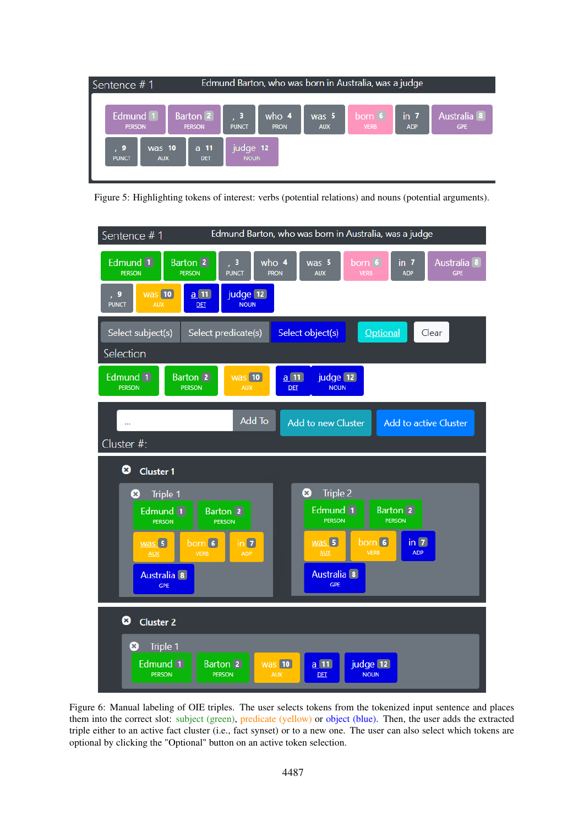<span id="page-15-0"></span>

Figure 5: Highlighting tokens of interest: verbs (potential relations) and nouns (potential arguments).

<span id="page-15-1"></span>

Figure 6: Manual labeling of OIE triples. The user selects tokens from the tokenized input sentence and places them into the correct slot: subject (green), predicate (yellow) or object (blue). Then, the user adds the extracted triple either to an active fact cluster (i.e., fact synset) or to a new one. The user can also select which tokens are optional by clicking the "Optional" button on an active token selection.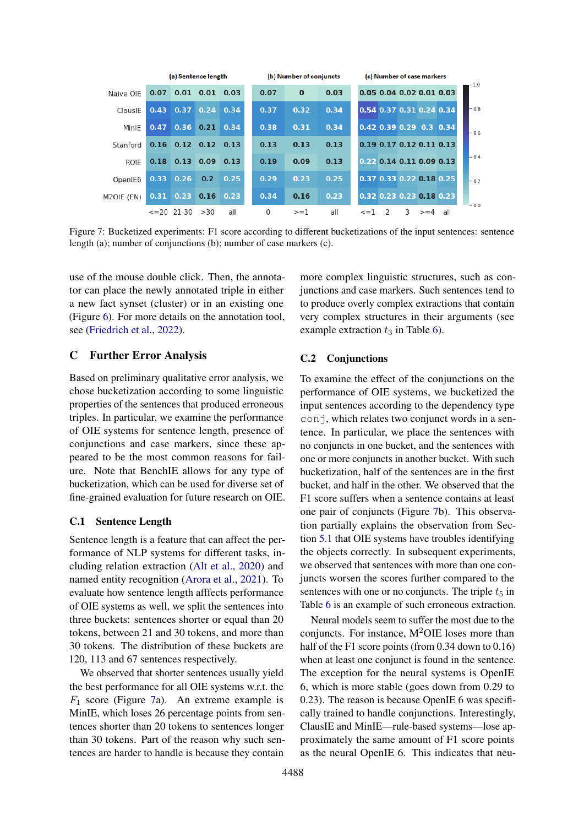<span id="page-16-1"></span>

|             |                     | (a) Sentence length |                   |      | (b) Number of conjuncts | (c) Number of case markers |      |            |   |   |                                   |     |  |        |
|-------------|---------------------|---------------------|-------------------|------|-------------------------|----------------------------|------|------------|---|---|-----------------------------------|-----|--|--------|
| Naive OIE   | 0.07                | 0.01                | 0.01              | 0.03 | 0.07                    | $\bf{0}$                   | 0.03 |            |   |   | 0.05 0.04 0.02 0.01 0.03          |     |  | - 1.0  |
| ClausIE     | 0.43                | 0.37                | 0.24              | 0.34 | 0.37                    | 0.32                       | 0.34 |            |   |   | 0.54 0.37 0.31 0.24 0.34          |     |  | $-0.8$ |
| MinIE       | 0.47                | 0.36                | $0.21 \quad 0.34$ |      | 0.38                    | 0.31                       | 0.34 |            |   |   | $0.42$ $0.39$ $0.29$ $0.3$ $0.34$ |     |  | $-06$  |
| Stanford    | 0.16                | $0.12$ $0.12$       |                   | 0.13 | 0.13                    | 0.13                       | 0.13 |            |   |   | 0.19 0.17 0.12 0.11 0.13          |     |  |        |
| <b>ROIE</b> | 0.18                | 0.13                | 0.09              | 0.13 | 0.19                    | 0.09                       | 0.13 |            |   |   | 0.22 0.14 0.11 0.09 0.13          |     |  | $-0.4$ |
| OpenIE6     | 0.33                | 0.26                | 0.2               | 0.25 | 0.29                    | 0.23                       | 0.25 |            |   |   | 0.37 0.33 0.22 0.18 0.25          |     |  | $-0.2$ |
| M2OIE (EN)  | 0.31                | 0.23                | 0.16              | 0.23 | 0.34                    | 0.16                       | 0.23 |            |   |   | 0.32 0.23 0.23 0.18 0.23          |     |  |        |
|             | $\leq$ = 20 21 - 30 |                     | >30               | all  | 0                       | $>=1$                      | all  | $\leq$ = 1 | 2 | 3 | $>= 4$                            | all |  | $-0.0$ |

Figure 7: Bucketized experiments: F1 score according to different bucketizations of the input sentences: sentence length (a); number of conjunctions (b); number of case markers (c).

use of the mouse double click. Then, the annotator can place the newly annotated triple in either a new fact synset (cluster) or in an existing one (Figure [6\)](#page-15-1). For more details on the annotation tool, see [\(Friedrich et al.,](#page-9-9) [2022\)](#page-9-9).

# <span id="page-16-0"></span>C Further Error Analysis

Based on preliminary qualitative error analysis, we chose bucketization according to some linguistic properties of the sentences that produced erroneous triples. In particular, we examine the performance of OIE systems for sentence length, presence of conjunctions and case markers, since these appeared to be the most common reasons for failure. Note that BenchIE allows for any type of bucketization, which can be used for diverse set of fine-grained evaluation for future research on OIE.

## C.1 Sentence Length

Sentence length is a feature that can affect the performance of NLP systems for different tasks, including relation extraction [\(Alt et al.,](#page-9-16) [2020\)](#page-9-16) and named entity recognition [\(Arora et al.,](#page-9-17) [2021\)](#page-9-17). To evaluate how sentence length afffects performance of OIE systems as well, we split the sentences into three buckets: sentences shorter or equal than 20 tokens, between 21 and 30 tokens, and more than 30 tokens. The distribution of these buckets are 120, 113 and 67 sentences respectively.

We observed that shorter sentences usually yield the best performance for all OIE systems w.r.t. the  $F_1$  score (Figure [7a](#page-16-1)). An extreme example is MinIE, which loses 26 percentage points from sentences shorter than 20 tokens to sentences longer than 30 tokens. Part of the reason why such sentences are harder to handle is because they contain

more complex linguistic structures, such as conjunctions and case markers. Such sentences tend to to produce overly complex extractions that contain very complex structures in their arguments (see example extraction  $t_3$  in Table [6\)](#page-17-0).

# C.2 Conjunctions

To examine the effect of the conjunctions on the performance of OIE systems, we bucketized the input sentences according to the dependency type conj, which relates two conjunct words in a sentence. In particular, we place the sentences with no conjuncts in one bucket, and the sentences with one or more conjuncts in another bucket. With such bucketization, half of the sentences are in the first bucket, and half in the other. We observed that the F1 score suffers when a sentence contains at least one pair of conjuncts (Figure [7b](#page-16-1)). This observation partially explains the observation from Section [5.1](#page-6-1) that OIE systems have troubles identifying the objects correctly. In subsequent experiments, we observed that sentences with more than one conjuncts worsen the scores further compared to the sentences with one or no conjuncts. The triple  $t_5$  in Table [6](#page-17-0) is an example of such erroneous extraction.

Neural models seem to suffer the most due to the conjuncts. For instance,  $M^2OIE$  loses more than half of the F1 score points (from 0.34 down to 0.16) when at least one conjunct is found in the sentence. The exception for the neural systems is OpenIE 6, which is more stable (goes down from 0.29 to 0.23). The reason is because OpenIE 6 was specifically trained to handle conjunctions. Interestingly, ClausIE and MinIE—rule-based systems—lose approximately the same amount of F1 score points as the neural OpenIE 6. This indicates that neu-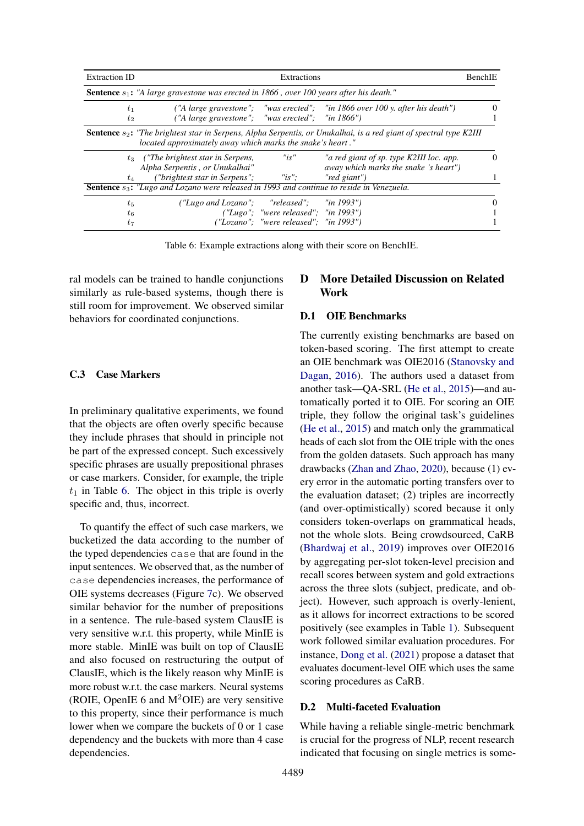<span id="page-17-0"></span>

| <b>Extraction ID</b>                                                                              | Extractions                                                                                                  |                                           |                                                                                                                              |          |  |  |  |  |  |  |  |
|---------------------------------------------------------------------------------------------------|--------------------------------------------------------------------------------------------------------------|-------------------------------------------|------------------------------------------------------------------------------------------------------------------------------|----------|--|--|--|--|--|--|--|
| <b>Sentence</b> $s_1$ : "A large gravestone was erected in 1866, over 100 years after his death." |                                                                                                              |                                           |                                                                                                                              |          |  |  |  |  |  |  |  |
| $t_{1}$<br>$t_2$                                                                                  | $('A large gravestone'';$ "was erected"; "in 1866")                                                          |                                           | ("A large gravestone"; "was erected"; "in 1866 over 100 y. after his death")                                                 |          |  |  |  |  |  |  |  |
|                                                                                                   | located approximately away which marks the snake's heart."                                                   |                                           | <b>Sentence</b> $s_2$ : "The brightest star in Serpens, Alpha Serpentis, or Unukalhai, is a red giant of spectral type K2III |          |  |  |  |  |  |  |  |
|                                                                                                   | $t_3$ ("The brightest star in Serpens,<br>Alpha Serpentis, or Unukalhai"                                     | "is"                                      | "a red giant of sp. type K2III loc. app.<br><i>away which marks the snake 's heart"</i> )                                    | $\theta$ |  |  |  |  |  |  |  |
| $t_A$                                                                                             | ("brightest star in Serpens";                                                                                | $"is"$ :                                  | "red giant")                                                                                                                 |          |  |  |  |  |  |  |  |
|                                                                                                   | <b>Sentence</b> s <sub>3</sub> : "Lugo and Lozano were released in 1993 and continue to reside in Venezuela. |                                           |                                                                                                                              |          |  |  |  |  |  |  |  |
| $t_{5}$                                                                                           | ("Lugo and Lozano"; "released"; "in 1993")                                                                   |                                           |                                                                                                                              |          |  |  |  |  |  |  |  |
| $t_{6}$                                                                                           |                                                                                                              | $('Lugo'': 'were released'': 'in 1993'')$ |                                                                                                                              |          |  |  |  |  |  |  |  |
| $t_7$                                                                                             |                                                                                                              | ("Lozano": "were released": "in 1993")    |                                                                                                                              |          |  |  |  |  |  |  |  |

Table 6: Example extractions along with their score on BenchIE.

ral models can be trained to handle conjunctions similarly as rule-based systems, though there is still room for improvement. We observed similar behaviors for coordinated conjunctions.

# C.3 Case Markers

In preliminary qualitative experiments, we found that the objects are often overly specific because they include phrases that should in principle not be part of the expressed concept. Such excessively specific phrases are usually prepositional phrases or case markers. Consider, for example, the triple  $t_1$  in Table [6.](#page-17-0) The object in this triple is overly specific and, thus, incorrect.

To quantify the effect of such case markers, we bucketized the data according to the number of the typed dependencies case that are found in the input sentences. We observed that, as the number of case dependencies increases, the performance of OIE systems decreases (Figure [7c](#page-16-1)). We observed similar behavior for the number of prepositions in a sentence. The rule-based system ClausIE is very sensitive w.r.t. this property, while MinIE is more stable. MinIE was built on top of ClausIE and also focused on restructuring the output of ClausIE, which is the likely reason why MinIE is more robust w.r.t. the case markers. Neural systems (ROIE, OpenIE 6 and  $M^2OIE$ ) are very sensitive to this property, since their performance is much lower when we compare the buckets of 0 or 1 case dependency and the buckets with more than 4 case dependencies.

# D More Detailed Discussion on Related Work

### D.1 OIE Benchmarks

The currently existing benchmarks are based on token-based scoring. The first attempt to create an OIE benchmark was OIE2016 [\(Stanovsky and](#page-10-1) [Dagan,](#page-10-1) [2016\)](#page-10-1). The authors used a dataset from another task—QA-SRL [\(He et al.,](#page-9-18) [2015\)](#page-9-18)—and automatically ported it to OIE. For scoring an OIE triple, they follow the original task's guidelines [\(He et al.,](#page-9-18) [2015\)](#page-9-18) and match only the grammatical heads of each slot from the OIE triple with the ones from the golden datasets. Such approach has many drawbacks [\(Zhan and Zhao,](#page-11-1) [2020\)](#page-11-1), because (1) every error in the automatic porting transfers over to the evaluation dataset; (2) triples are incorrectly (and over-optimistically) scored because it only considers token-overlaps on grammatical heads, not the whole slots. Being crowdsourced, CaRB [\(Bhardwaj et al.,](#page-9-3) [2019\)](#page-9-3) improves over OIE2016 by aggregating per-slot token-level precision and recall scores between system and gold extractions across the three slots (subject, predicate, and object). However, such approach is overly-lenient, as it allows for incorrect extractions to be scored positively (see examples in Table [1\)](#page-2-0). Subsequent work followed similar evaluation procedures. For instance, [Dong et al.](#page-9-19) [\(2021\)](#page-9-19) propose a dataset that evaluates document-level OIE which uses the same scoring procedures as CaRB.

### D.2 Multi-faceted Evaluation

While having a reliable single-metric benchmark is crucial for the progress of NLP, recent research indicated that focusing on single metrics is some